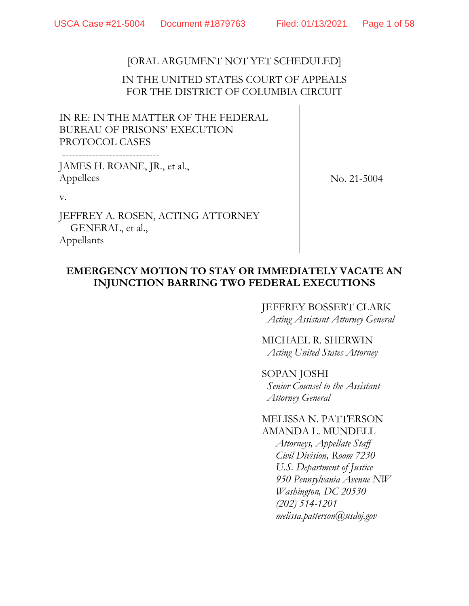# [ORAL ARGUMENT NOT YET SCHEDULED]

# IN THE UNITED STATES COURT OF APPEALS FOR THE DISTRICT OF COLUMBIA CIRCUIT

IN RE: IN THE MATTER OF THE FEDERAL BUREAU OF PRISONS' EXECUTION PROTOCOL CASES

JAMES H. ROANE, JR., et al., Appellees

-----------------------------

No. 21-5004

v.

JEFFREY A. ROSEN, ACTING ATTORNEY GENERAL, et al., Appellants

# **EMERGENCY MOTION TO STAY OR IMMEDIATELY VACATE AN INJUNCTION BARRING TWO FEDERAL EXECUTIONS**

## JEFFREY BOSSERT CLARK *Acting Assistant Attorney General*

MICHAEL R. SHERWIN *Acting United States Attorney*

SOPAN JOSHI *Senior Counsel to the Assistant Attorney General*

## MELISSA N. PATTERSON AMANDA L. MUNDELL

*Attorneys, Appellate Staff Civil Division, Room 7230 U.S. Department of Justice 950 Pennsylvania Avenue NW Washington, DC 20530 (202) 514-1201 melissa.patterson@usdoj.gov*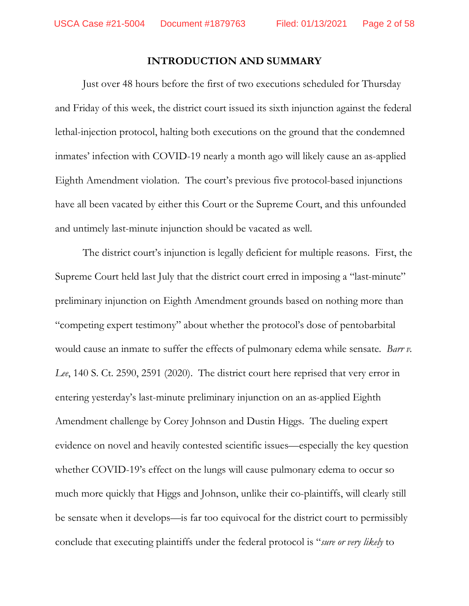## **INTRODUCTION AND SUMMARY**

Just over 48 hours before the first of two executions scheduled for Thursday and Friday of this week, the district court issued its sixth injunction against the federal lethal-injection protocol, halting both executions on the ground that the condemned inmates' infection with COVID-19 nearly a month ago will likely cause an as-applied Eighth Amendment violation. The court's previous five protocol-based injunctions have all been vacated by either this Court or the Supreme Court, and this unfounded and untimely last-minute injunction should be vacated as well.

The district court's injunction is legally deficient for multiple reasons. First, the Supreme Court held last July that the district court erred in imposing a "last-minute" preliminary injunction on Eighth Amendment grounds based on nothing more than "competing expert testimony" about whether the protocol's dose of pentobarbital would cause an inmate to suffer the effects of pulmonary edema while sensate. *Barr v. Lee*, 140 S. Ct. 2590, 2591 (2020). The district court here reprised that very error in entering yesterday's last-minute preliminary injunction on an as-applied Eighth Amendment challenge by Corey Johnson and Dustin Higgs. The dueling expert evidence on novel and heavily contested scientific issues—especially the key question whether COVID-19's effect on the lungs will cause pulmonary edema to occur so much more quickly that Higgs and Johnson, unlike their co-plaintiffs, will clearly still be sensate when it develops—is far too equivocal for the district court to permissibly conclude that executing plaintiffs under the federal protocol is "*sure or very likely* to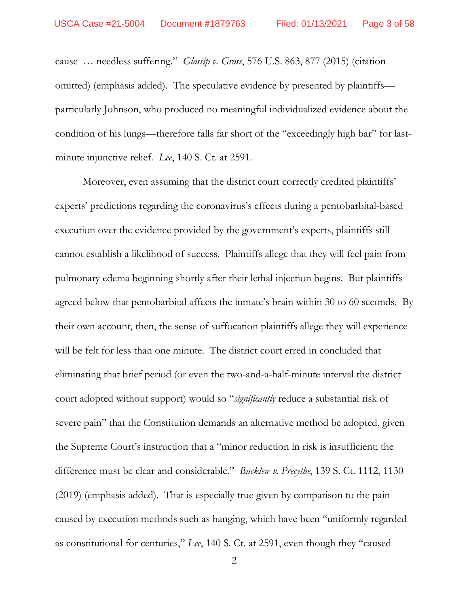cause … needless suffering." *Glossip v. Gross*, 576 U.S. 863, 877 (2015) (citation omitted) (emphasis added). The speculative evidence by presented by plaintiffs particularly Johnson, who produced no meaningful individualized evidence about the condition of his lungs—therefore falls far short of the "exceedingly high bar" for lastminute injunctive relief. *Lee*, 140 S. Ct. at 2591.

Moreover, even assuming that the district court correctly credited plaintiffs' experts' predictions regarding the coronavirus's effects during a pentobarbital-based execution over the evidence provided by the government's experts, plaintiffs still cannot establish a likelihood of success. Plaintiffs allege that they will feel pain from pulmonary edema beginning shortly after their lethal injection begins. But plaintiffs agreed below that pentobarbital affects the inmate's brain within 30 to 60 seconds. By their own account, then, the sense of suffocation plaintiffs allege they will experience will be felt for less than one minute. The district court erred in concluded that eliminating that brief period (or even the two-and-a-half-minute interval the district court adopted without support) would so "*significantly* reduce a substantial risk of severe pain" that the Constitution demands an alternative method be adopted, given the Supreme Court's instruction that a "minor reduction in risk is insufficient; the difference must be clear and considerable." *Bucklew v. Precythe*, 139 S. Ct. 1112, 1130 (2019) (emphasis added). That is especially true given by comparison to the pain caused by execution methods such as hanging, which have been "uniformly regarded as constitutional for centuries," *Lee*, 140 S. Ct. at 2591, even though they "caused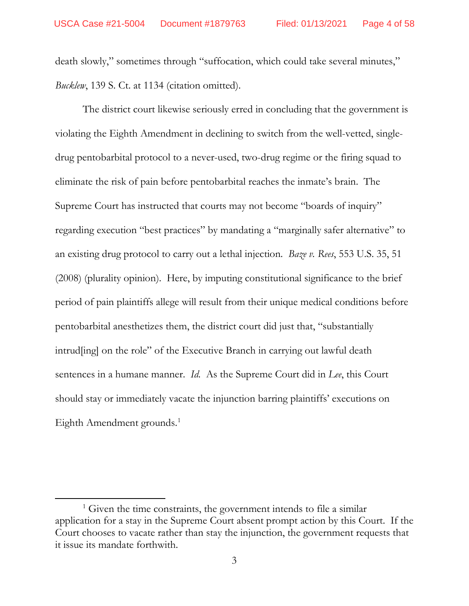death slowly," sometimes through "suffocation, which could take several minutes," *Bucklew*, 139 S. Ct. at 1134 (citation omitted).

The district court likewise seriously erred in concluding that the government is violating the Eighth Amendment in declining to switch from the well-vetted, singledrug pentobarbital protocol to a never-used, two-drug regime or the firing squad to eliminate the risk of pain before pentobarbital reaches the inmate's brain. The Supreme Court has instructed that courts may not become "boards of inquiry" regarding execution "best practices" by mandating a "marginally safer alternative" to an existing drug protocol to carry out a lethal injection. *Baze v. Rees*, 553 U.S. 35, 51 (2008) (plurality opinion). Here, by imputing constitutional significance to the brief period of pain plaintiffs allege will result from their unique medical conditions before pentobarbital anesthetizes them, the district court did just that, "substantially intrud[ing] on the role" of the Executive Branch in carrying out lawful death sentences in a humane manner. *Id.* As the Supreme Court did in *Lee*, this Court should stay or immediately vacate the injunction barring plaintiffs' executions on Eighth Amendment grounds.<sup>[1](#page-3-0)</sup>

 $\overline{a}$ 

<span id="page-3-0"></span> $<sup>1</sup>$  Given the time constraints, the government intends to file a similar</sup> application for a stay in the Supreme Court absent prompt action by this Court. If the Court chooses to vacate rather than stay the injunction, the government requests that it issue its mandate forthwith.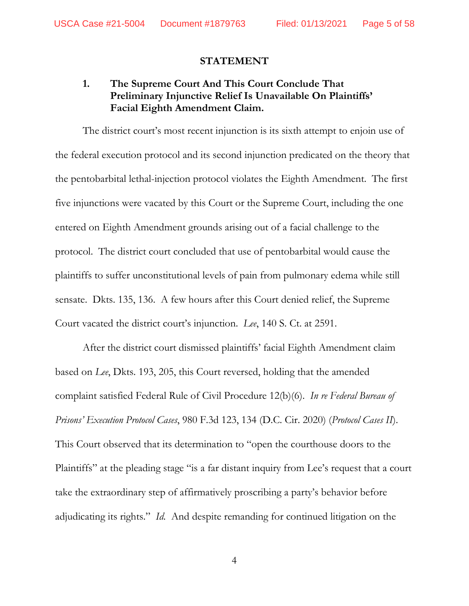## **STATEMENT**

# **1. The Supreme Court And This Court Conclude That Preliminary Injunctive Relief Is Unavailable On Plaintiffs' Facial Eighth Amendment Claim.**

The district court's most recent injunction is its sixth attempt to enjoin use of the federal execution protocol and its second injunction predicated on the theory that the pentobarbital lethal-injection protocol violates the Eighth Amendment. The first five injunctions were vacated by this Court or the Supreme Court, including the one entered on Eighth Amendment grounds arising out of a facial challenge to the protocol. The district court concluded that use of pentobarbital would cause the plaintiffs to suffer unconstitutional levels of pain from pulmonary edema while still sensate. Dkts. 135, 136. A few hours after this Court denied relief, the Supreme Court vacated the district court's injunction. *Lee*, 140 S. Ct. at 2591.

After the district court dismissed plaintiffs' facial Eighth Amendment claim based on *Lee*, Dkts. 193, 205, this Court reversed, holding that the amended complaint satisfied Federal Rule of Civil Procedure 12(b)(6). *In re Federal Bureau of Prisons' Execution Protocol Cases*, 980 F.3d 123, 134 (D.C. Cir. 2020) (*Protocol Cases II*). This Court observed that its determination to "open the courthouse doors to the Plaintiffs" at the pleading stage "is a far distant inquiry from Lee's request that a court take the extraordinary step of affirmatively proscribing a party's behavior before adjudicating its rights." *Id.* And despite remanding for continued litigation on the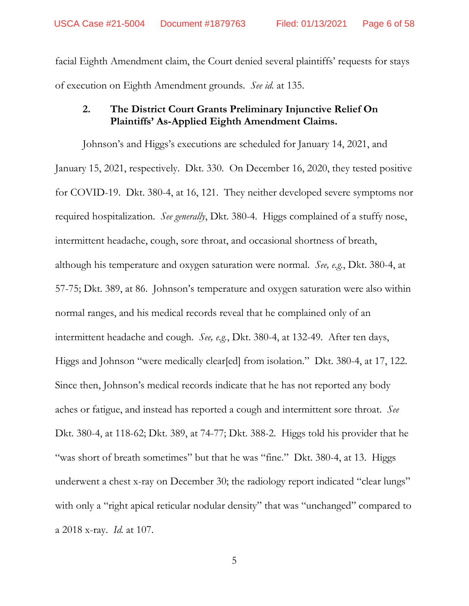facial Eighth Amendment claim, the Court denied several plaintiffs' requests for stays of execution on Eighth Amendment grounds. *See id.* at 135.

# **2. The District Court Grants Preliminary Injunctive Relief On Plaintiffs' As-Applied Eighth Amendment Claims.**

Johnson's and Higgs's executions are scheduled for January 14, 2021, and January 15, 2021, respectively. Dkt. 330. On December 16, 2020, they tested positive for COVID-19. Dkt. 380-4, at 16, 121. They neither developed severe symptoms nor required hospitalization. *See generally*, Dkt. 380-4. Higgs complained of a stuffy nose, intermittent headache, cough, sore throat, and occasional shortness of breath, although his temperature and oxygen saturation were normal. *See, e.g.*, Dkt. 380-4, at 57-75; Dkt. 389, at 86. Johnson's temperature and oxygen saturation were also within normal ranges, and his medical records reveal that he complained only of an intermittent headache and cough. *See, e.g.*, Dkt. 380-4, at 132-49. After ten days, Higgs and Johnson "were medically clear[ed] from isolation." Dkt. 380-4, at 17, 122. Since then, Johnson's medical records indicate that he has not reported any body aches or fatigue, and instead has reported a cough and intermittent sore throat. *See*  Dkt. 380-4, at 118-62; Dkt. 389, at 74-77; Dkt. 388-2. Higgs told his provider that he "was short of breath sometimes" but that he was "fine." Dkt. 380-4, at 13. Higgs underwent a chest x-ray on December 30; the radiology report indicated "clear lungs" with only a "right apical reticular nodular density" that was "unchanged" compared to a 2018 x-ray. *Id.* at 107.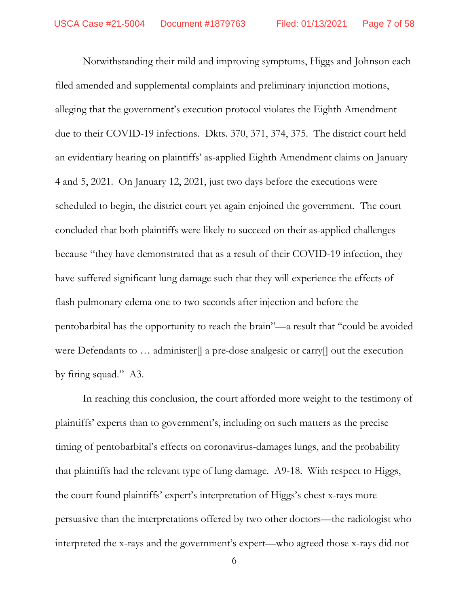Notwithstanding their mild and improving symptoms, Higgs and Johnson each filed amended and supplemental complaints and preliminary injunction motions, alleging that the government's execution protocol violates the Eighth Amendment due to their COVID-19 infections. Dkts. 370, 371, 374, 375. The district court held an evidentiary hearing on plaintiffs' as-applied Eighth Amendment claims on January 4 and 5, 2021. On January 12, 2021, just two days before the executions were scheduled to begin, the district court yet again enjoined the government. The court concluded that both plaintiffs were likely to succeed on their as-applied challenges because "they have demonstrated that as a result of their COVID-19 infection, they have suffered significant lung damage such that they will experience the effects of flash pulmonary edema one to two seconds after injection and before the pentobarbital has the opportunity to reach the brain"—a result that "could be avoided were Defendants to ... administer[] a pre-dose analgesic or carry[] out the execution by firing squad." A3.

In reaching this conclusion, the court afforded more weight to the testimony of plaintiffs' experts than to government's, including on such matters as the precise timing of pentobarbital's effects on coronavirus-damages lungs, and the probability that plaintiffs had the relevant type of lung damage. A9-18. With respect to Higgs, the court found plaintiffs' expert's interpretation of Higgs's chest x-rays more persuasive than the interpretations offered by two other doctors—the radiologist who interpreted the x-rays and the government's expert—who agreed those x-rays did not

6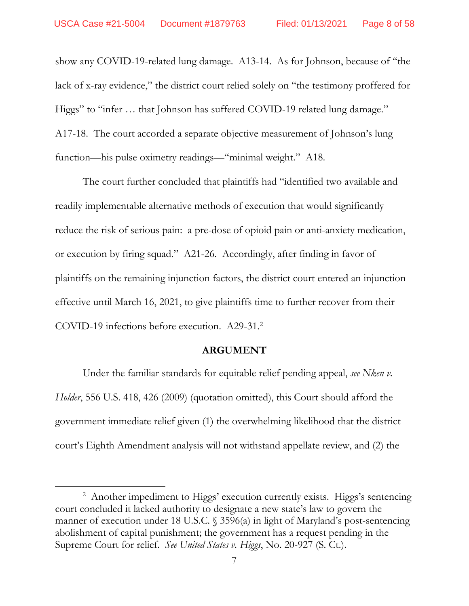show any COVID-19-related lung damage. A13-14. As for Johnson, because of "the lack of x-ray evidence," the district court relied solely on "the testimony proffered for Higgs" to "infer … that Johnson has suffered COVID-19 related lung damage." A17-18. The court accorded a separate objective measurement of Johnson's lung function—his pulse oximetry readings—"minimal weight." A18.

The court further concluded that plaintiffs had "identified two available and readily implementable alternative methods of execution that would significantly reduce the risk of serious pain: a pre-dose of opioid pain or anti-anxiety medication, or execution by firing squad." A21-26. Accordingly, after finding in favor of plaintiffs on the remaining injunction factors, the district court entered an injunction effective until March 16, 2021, to give plaintiffs time to further recover from their COVID-19 infections before execution. A29-31[.2](#page-7-0)

## **ARGUMENT**

Under the familiar standards for equitable relief pending appeal, *see Nken v. Holder*, 556 U.S. 418, 426 (2009) (quotation omitted), this Court should afford the government immediate relief given (1) the overwhelming likelihood that the district court's Eighth Amendment analysis will not withstand appellate review, and (2) the

 $\overline{a}$ 

<span id="page-7-0"></span><sup>&</sup>lt;sup>2</sup> Another impediment to Higgs' execution currently exists. Higgs's sentencing court concluded it lacked authority to designate a new state's law to govern the manner of execution under 18 U.S.C. § 3596(a) in light of Maryland's post-sentencing abolishment of capital punishment; the government has a request pending in the Supreme Court for relief. *See United States v. Higgs*, No. 20-927 (S. Ct.).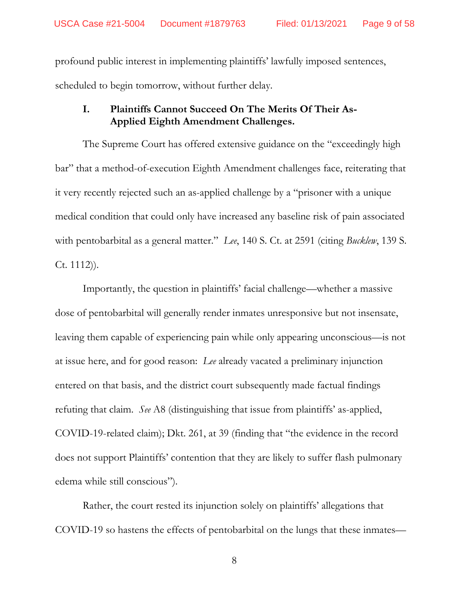profound public interest in implementing plaintiffs' lawfully imposed sentences, scheduled to begin tomorrow, without further delay.

# **I. Plaintiffs Cannot Succeed On The Merits Of Their As-Applied Eighth Amendment Challenges.**

The Supreme Court has offered extensive guidance on the "exceedingly high bar" that a method-of-execution Eighth Amendment challenges face, reiterating that it very recently rejected such an as-applied challenge by a "prisoner with a unique medical condition that could only have increased any baseline risk of pain associated with pentobarbital as a general matter." *Lee*, 140 S. Ct. at 2591 (citing *Bucklew*, 139 S. Ct. 1112)).

Importantly, the question in plaintiffs' facial challenge—whether a massive dose of pentobarbital will generally render inmates unresponsive but not insensate, leaving them capable of experiencing pain while only appearing unconscious—is not at issue here, and for good reason: *Lee* already vacated a preliminary injunction entered on that basis, and the district court subsequently made factual findings refuting that claim. *See* A8 (distinguishing that issue from plaintiffs' as-applied, COVID-19-related claim); Dkt. 261, at 39 (finding that "the evidence in the record does not support Plaintiffs' contention that they are likely to suffer flash pulmonary edema while still conscious").

Rather, the court rested its injunction solely on plaintiffs' allegations that COVID-19 so hastens the effects of pentobarbital on the lungs that these inmates—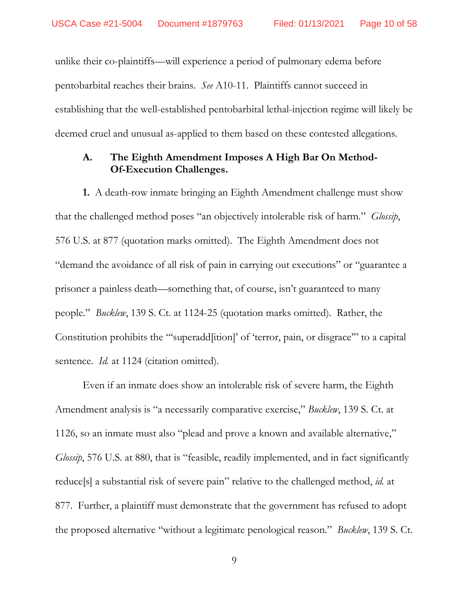unlike their co-plaintiffs—will experience a period of pulmonary edema before pentobarbital reaches their brains. *See* A10-11. Plaintiffs cannot succeed in establishing that the well-established pentobarbital lethal-injection regime will likely be deemed cruel and unusual as-applied to them based on these contested allegations.

## **A. The Eighth Amendment Imposes A High Bar On Method-Of-Execution Challenges.**

**1.** A death-row inmate bringing an Eighth Amendment challenge must show that the challenged method poses "an objectively intolerable risk of harm." *Glossip*, 576 U.S. at 877 (quotation marks omitted). The Eighth Amendment does not "demand the avoidance of all risk of pain in carrying out executions" or "guarantee a prisoner a painless death—something that, of course, isn't guaranteed to many people." *Bucklew*, 139 S. Ct. at 1124-25 (quotation marks omitted). Rather, the Constitution prohibits the "'superadd[ition]' of 'terror, pain, or disgrace'" to a capital sentence. *Id.* at 1124 (citation omitted).

Even if an inmate does show an intolerable risk of severe harm, the Eighth Amendment analysis is "a necessarily comparative exercise," *Bucklew*, 139 S. Ct. at 1126, so an inmate must also "plead and prove a known and available alternative," *Glossip*, 576 U.S. at 880, that is "feasible, readily implemented, and in fact significantly reduce[s] a substantial risk of severe pain" relative to the challenged method, *id.* at 877. Further, a plaintiff must demonstrate that the government has refused to adopt the proposed alternative "without a legitimate penological reason." *Bucklew*, 139 S. Ct.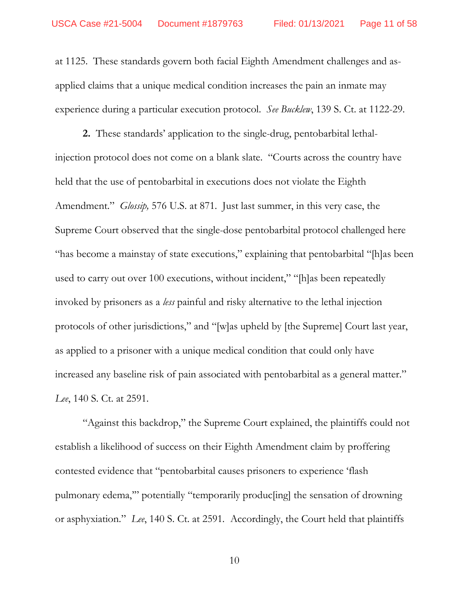at 1125. These standards govern both facial Eighth Amendment challenges and asapplied claims that a unique medical condition increases the pain an inmate may experience during a particular execution protocol. *See Bucklew*, 139 S. Ct. at 1122-29.

**2.** These standards' application to the single-drug, pentobarbital lethalinjection protocol does not come on a blank slate. "Courts across the country have held that the use of pentobarbital in executions does not violate the Eighth Amendment." *Glossip,* 576 U.S. at 871. Just last summer, in this very case, the Supreme Court observed that the single-dose pentobarbital protocol challenged here "has become a mainstay of state executions," explaining that pentobarbital "[h]as been used to carry out over 100 executions, without incident," "[h]as been repeatedly invoked by prisoners as a *less* painful and risky alternative to the lethal injection protocols of other jurisdictions," and "[w]as upheld by [the Supreme] Court last year, as applied to a prisoner with a unique medical condition that could only have increased any baseline risk of pain associated with pentobarbital as a general matter." *Lee*, 140 S. Ct. at 2591.

"Against this backdrop," the Supreme Court explained, the plaintiffs could not establish a likelihood of success on their Eighth Amendment claim by proffering contested evidence that "pentobarbital causes prisoners to experience 'flash pulmonary edema,'" potentially "temporarily produc[ing] the sensation of drowning or asphyxiation." *Lee*, 140 S. Ct. at 2591*.* Accordingly, the Court held that plaintiffs

10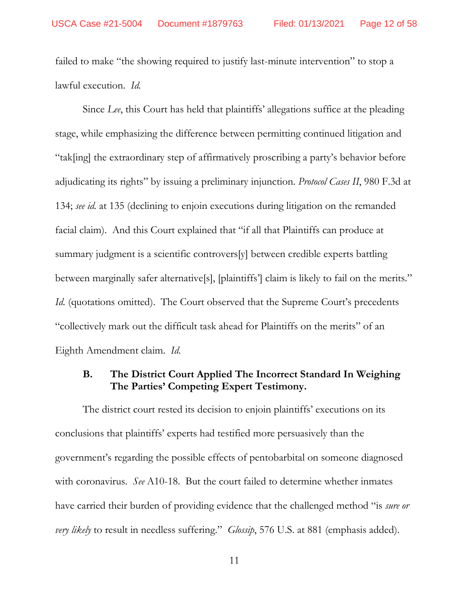failed to make "the showing required to justify last-minute intervention" to stop a lawful execution. *Id.*

Since *Lee*, this Court has held that plaintiffs' allegations suffice at the pleading stage, while emphasizing the difference between permitting continued litigation and "tak[ing] the extraordinary step of affirmatively proscribing a party's behavior before adjudicating its rights" by issuing a preliminary injunction. *Protocol Cases II*, 980 F.3d at 134; *see id.* at 135 (declining to enjoin executions during litigation on the remanded facial claim). And this Court explained that "if all that Plaintiffs can produce at summary judgment is a scientific controvers[y] between credible experts battling between marginally safer alternative[s], [plaintiffs'] claim is likely to fail on the merits." *Id.* (quotations omitted). The Court observed that the Supreme Court's precedents "collectively mark out the difficult task ahead for Plaintiffs on the merits" of an Eighth Amendment claim. *Id.* 

# **B. The District Court Applied The Incorrect Standard In Weighing The Parties' Competing Expert Testimony.**

The district court rested its decision to enjoin plaintiffs' executions on its conclusions that plaintiffs' experts had testified more persuasively than the government's regarding the possible effects of pentobarbital on someone diagnosed with coronavirus. *See* A10-18. But the court failed to determine whether inmates have carried their burden of providing evidence that the challenged method "is *sure or very likely* to result in needless suffering." *Glossip*, 576 U.S. at 881 (emphasis added).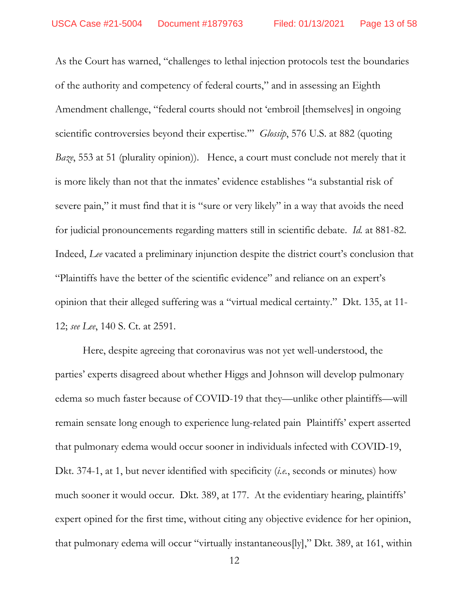As the Court has warned, "challenges to lethal injection protocols test the boundaries of the authority and competency of federal courts," and in assessing an Eighth Amendment challenge, "federal courts should not 'embroil [themselves] in ongoing scientific controversies beyond their expertise." *Glossip*, 576 U.S. at 882 (quoting *Baze*, 553 at 51 (plurality opinion)). Hence, a court must conclude not merely that it is more likely than not that the inmates' evidence establishes "a substantial risk of severe pain," it must find that it is "sure or very likely" in a way that avoids the need for judicial pronouncements regarding matters still in scientific debate. *Id.* at 881-82. Indeed, *Lee* vacated a preliminary injunction despite the district court's conclusion that "Plaintiffs have the better of the scientific evidence" and reliance on an expert's opinion that their alleged suffering was a "virtual medical certainty." Dkt. 135, at 11- 12; *see Lee*, 140 S. Ct. at 2591.

Here, despite agreeing that coronavirus was not yet well-understood, the parties' experts disagreed about whether Higgs and Johnson will develop pulmonary edema so much faster because of COVID-19 that they—unlike other plaintiffs—will remain sensate long enough to experience lung-related pain Plaintiffs' expert asserted that pulmonary edema would occur sooner in individuals infected with COVID-19, Dkt. 374-1, at 1, but never identified with specificity (*i.e.*, seconds or minutes) how much sooner it would occur. Dkt. 389, at 177. At the evidentiary hearing, plaintiffs' expert opined for the first time, without citing any objective evidence for her opinion, that pulmonary edema will occur "virtually instantaneous[ly]," Dkt. 389, at 161, within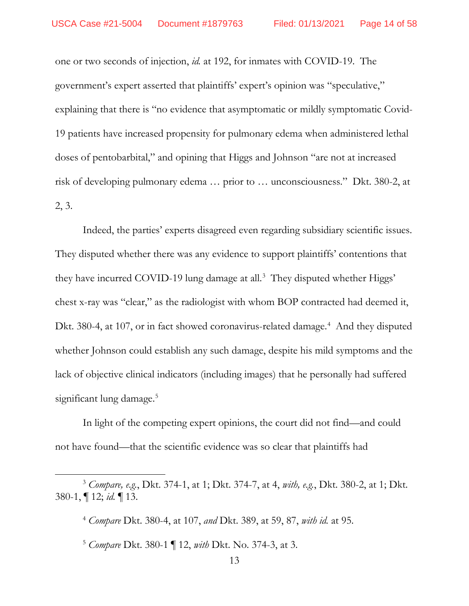one or two seconds of injection, *id.* at 192, for inmates with COVID-19. The government's expert asserted that plaintiffs' expert's opinion was "speculative," explaining that there is "no evidence that asymptomatic or mildly symptomatic Covid-19 patients have increased propensity for pulmonary edema when administered lethal doses of pentobarbital," and opining that Higgs and Johnson "are not at increased risk of developing pulmonary edema … prior to … unconsciousness." Dkt. 380-2, at 2, 3.

Indeed, the parties' experts disagreed even regarding subsidiary scientific issues. They disputed whether there was any evidence to support plaintiffs' contentions that they have incurred COVID-19 lung damage at all. [3](#page-13-0) They disputed whether Higgs' chest x-ray was "clear," as the radiologist with whom BOP contracted had deemed it, Dkt. 380-[4](#page-13-1), at 107, or in fact showed coronavirus-related damage.<sup>4</sup> And they disputed whether Johnson could establish any such damage, despite his mild symptoms and the lack of objective clinical indicators (including images) that he personally had suffered significant lung damage.<sup>[5](#page-13-2)</sup>

In light of the competing expert opinions, the court did not find—and could not have found—that the scientific evidence was so clear that plaintiffs had

l

<span id="page-13-1"></span><span id="page-13-0"></span><sup>3</sup> *Compare, e.g.*, Dkt. 374-1, at 1; Dkt. 374-7, at 4, *with, e.g.*, Dkt. 380-2, at 1; Dkt. 380-1, ¶ 12; *id.* ¶ 13.

<sup>4</sup> *Compare* Dkt. 380-4, at 107, *and* Dkt. 389, at 59, 87, *with id.* at 95.

<span id="page-13-2"></span><sup>5</sup> *Compare* Dkt. 380-1 ¶ 12, *with* Dkt. No. 374-3, at 3.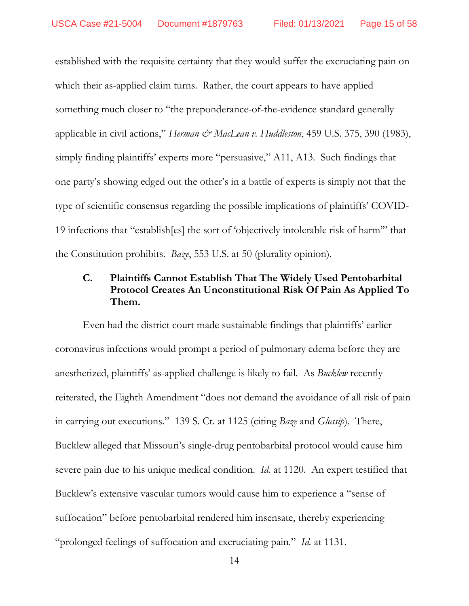established with the requisite certainty that they would suffer the excruciating pain on which their as-applied claim turns. Rather, the court appears to have applied something much closer to "the preponderance-of-the-evidence standard generally applicable in civil actions," *Herman & MacLean v. Huddleston*, 459 U.S. 375, 390 (1983), simply finding plaintiffs' experts more "persuasive," A11, A13. Such findings that one party's showing edged out the other's in a battle of experts is simply not that the type of scientific consensus regarding the possible implications of plaintiffs' COVID-19 infections that "establish[es] the sort of 'objectively intolerable risk of harm'" that the Constitution prohibits. *Baze*, 553 U.S. at 50 (plurality opinion).

# **C. Plaintiffs Cannot Establish That The Widely Used Pentobarbital Protocol Creates An Unconstitutional Risk Of Pain As Applied To Them.**

Even had the district court made sustainable findings that plaintiffs' earlier coronavirus infections would prompt a period of pulmonary edema before they are anesthetized, plaintiffs' as-applied challenge is likely to fail. As *Bucklew* recently reiterated, the Eighth Amendment "does not demand the avoidance of all risk of pain in carrying out executions." 139 S. Ct. at 1125 (citing *Baze* and *Glossip*). There, Bucklew alleged that Missouri's single-drug pentobarbital protocol would cause him severe pain due to his unique medical condition. *Id.* at 1120. An expert testified that Bucklew's extensive vascular tumors would cause him to experience a "sense of suffocation" before pentobarbital rendered him insensate, thereby experiencing "prolonged feelings of suffocation and excruciating pain." *Id.* at 1131.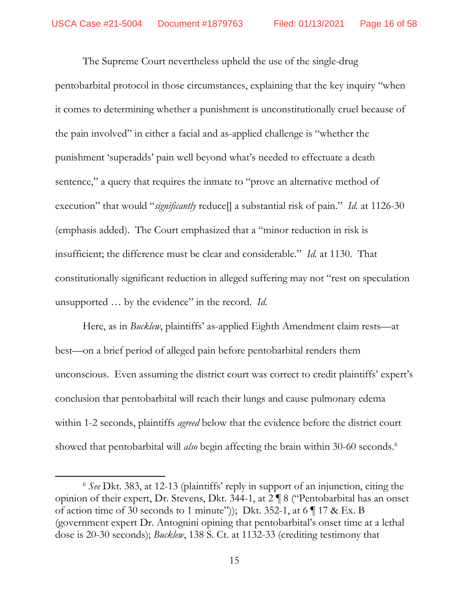The Supreme Court nevertheless upheld the use of the single-drug pentobarbital protocol in those circumstances, explaining that the key inquiry "when it comes to determining whether a punishment is unconstitutionally cruel because of the pain involved" in either a facial and as-applied challenge is "whether the punishment 'superadds' pain well beyond what's needed to effectuate a death sentence," a query that requires the inmate to "prove an alternative method of execution" that would "*significantly* reduce<sup>[]</sup> a substantial risk of pain." *Id.* at 1126-30 (emphasis added). The Court emphasized that a "minor reduction in risk is insufficient; the difference must be clear and considerable." *Id.* at 1130. That constitutionally significant reduction in alleged suffering may not "rest on speculation unsupported … by the evidence" in the record. *Id.* 

Here, as in *Bucklew*, plaintiffs' as-applied Eighth Amendment claim rests—at best—on a brief period of alleged pain before pentobarbital renders them unconscious. Even assuming the district court was correct to credit plaintiffs' expert's conclusion that pentobarbital will reach their lungs and cause pulmonary edema within 1-2 seconds, plaintiffs *agreed* below that the evidence before the district court showed that pentobarbital will *also* begin affecting the brain within 30-60 seconds. [6](#page-15-0)

l

<span id="page-15-0"></span><sup>6</sup> *See* Dkt. 383, at 12-13 (plaintiffs' reply in support of an injunction, citing the opinion of their expert, Dr. Stevens, Dkt. 344-1, at 2 ¶ 8 ("Pentobarbital has an onset of action time of 30 seconds to 1 minute")); Dkt. 352-1, at 6  $\P$  17 & Ex. B (government expert Dr. Antognini opining that pentobarbital's onset time at a lethal dose is 20-30 seconds); *Bucklew*, 138 S. Ct. at 1132-33 (crediting testimony that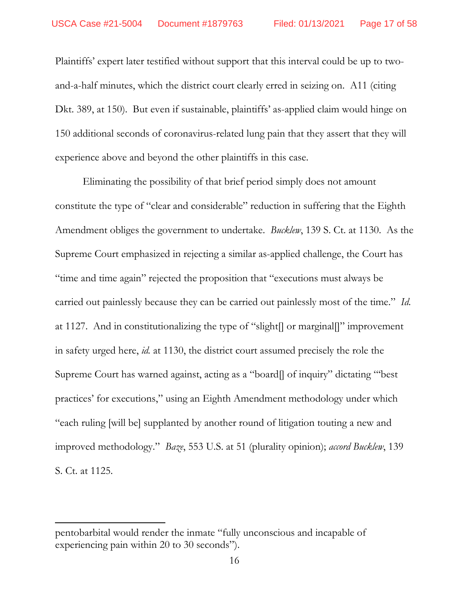Plaintiffs' expert later testified without support that this interval could be up to twoand-a-half minutes, which the district court clearly erred in seizing on. A11 (citing Dkt. 389, at 150). But even if sustainable, plaintiffs' as-applied claim would hinge on 150 additional seconds of coronavirus-related lung pain that they assert that they will experience above and beyond the other plaintiffs in this case.

Eliminating the possibility of that brief period simply does not amount constitute the type of "clear and considerable" reduction in suffering that the Eighth Amendment obliges the government to undertake. *Bucklew*, 139 S. Ct. at 1130. As the Supreme Court emphasized in rejecting a similar as-applied challenge, the Court has "time and time again" rejected the proposition that "executions must always be carried out painlessly because they can be carried out painlessly most of the time." *Id.* at 1127. And in constitutionalizing the type of "slight[] or marginal[]" improvement in safety urged here, *id.* at 1130, the district court assumed precisely the role the Supreme Court has warned against, acting as a "board[] of inquiry" dictating "'best practices' for executions," using an Eighth Amendment methodology under which "each ruling [will be] supplanted by another round of litigation touting a new and improved methodology." *Baze*, 553 U.S. at 51 (plurality opinion); *accord Bucklew*, 139 S. Ct. at 1125.

l

pentobarbital would render the inmate "fully unconscious and incapable of experiencing pain within 20 to 30 seconds").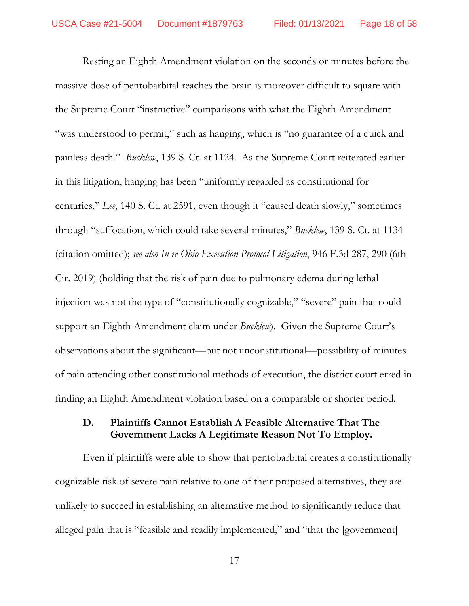Resting an Eighth Amendment violation on the seconds or minutes before the massive dose of pentobarbital reaches the brain is moreover difficult to square with the Supreme Court "instructive" comparisons with what the Eighth Amendment "was understood to permit," such as hanging, which is "no guarantee of a quick and painless death." *Bucklew*, 139 S. Ct. at 1124. As the Supreme Court reiterated earlier in this litigation, hanging has been "uniformly regarded as constitutional for centuries," *Lee*, 140 S. Ct. at 2591, even though it "caused death slowly," sometimes through "suffocation, which could take several minutes," *Bucklew*, 139 S. Ct. at 1134 (citation omitted); *see also In re Ohio Execution Protocol Litigation*, 946 F.3d 287, 290 (6th Cir. 2019) (holding that the risk of pain due to pulmonary edema during lethal injection was not the type of "constitutionally cognizable," "severe" pain that could support an Eighth Amendment claim under *Bucklew*). Given the Supreme Court's observations about the significant—but not unconstitutional—possibility of minutes of pain attending other constitutional methods of execution, the district court erred in finding an Eighth Amendment violation based on a comparable or shorter period.

## **D. Plaintiffs Cannot Establish A Feasible Alternative That The Government Lacks A Legitimate Reason Not To Employ.**

Even if plaintiffs were able to show that pentobarbital creates a constitutionally cognizable risk of severe pain relative to one of their proposed alternatives, they are unlikely to succeed in establishing an alternative method to significantly reduce that alleged pain that is "feasible and readily implemented," and "that the [government]

17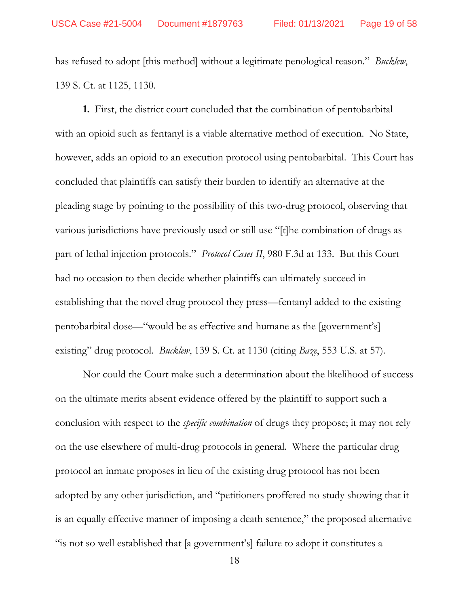has refused to adopt [this method] without a legitimate penological reason." *Bucklew*, 139 S. Ct. at 1125, 1130.

**1.** First, the district court concluded that the combination of pentobarbital with an opioid such as fentanyl is a viable alternative method of execution. No State, however, adds an opioid to an execution protocol using pentobarbital. This Court has concluded that plaintiffs can satisfy their burden to identify an alternative at the pleading stage by pointing to the possibility of this two-drug protocol, observing that various jurisdictions have previously used or still use "[t]he combination of drugs as part of lethal injection protocols." *Protocol Cases II*, 980 F.3d at 133. But this Court had no occasion to then decide whether plaintiffs can ultimately succeed in establishing that the novel drug protocol they press—fentanyl added to the existing pentobarbital dose—"would be as effective and humane as the [government's] existing" drug protocol. *Bucklew*, 139 S. Ct. at 1130 (citing *Baze*, 553 U.S. at 57).

Nor could the Court make such a determination about the likelihood of success on the ultimate merits absent evidence offered by the plaintiff to support such a conclusion with respect to the *specific combination* of drugs they propose; it may not rely on the use elsewhere of multi-drug protocols in general. Where the particular drug protocol an inmate proposes in lieu of the existing drug protocol has not been adopted by any other jurisdiction, and "petitioners proffered no study showing that it is an equally effective manner of imposing a death sentence," the proposed alternative "is not so well established that [a government's] failure to adopt it constitutes a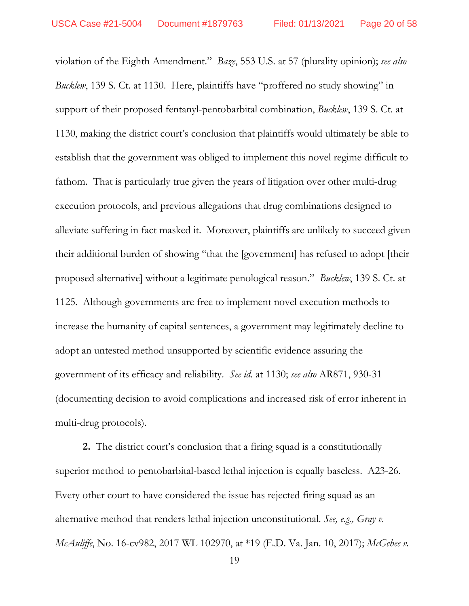violation of the Eighth Amendment." *Baze*, 553 U.S. at 57 (plurality opinion); *see also Bucklew*, 139 S. Ct. at 1130. Here, plaintiffs have "proffered no study showing" in support of their proposed fentanyl-pentobarbital combination, *Bucklew*, 139 S. Ct. at 1130, making the district court's conclusion that plaintiffs would ultimately be able to establish that the government was obliged to implement this novel regime difficult to fathom. That is particularly true given the years of litigation over other multi-drug execution protocols, and previous allegations that drug combinations designed to alleviate suffering in fact masked it. Moreover, plaintiffs are unlikely to succeed given their additional burden of showing "that the [government] has refused to adopt [their proposed alternative] without a legitimate penological reason." *Bucklew*, 139 S. Ct. at 1125. Although governments are free to implement novel execution methods to increase the humanity of capital sentences, a government may legitimately decline to adopt an untested method unsupported by scientific evidence assuring the government of its efficacy and reliability. *See id.* at 1130; *see also* AR871, 930-31 (documenting decision to avoid complications and increased risk of error inherent in multi-drug protocols).

**2.** The district court's conclusion that a firing squad is a constitutionally superior method to pentobarbital-based lethal injection is equally baseless. A23-26. Every other court to have considered the issue has rejected firing squad as an alternative method that renders lethal injection unconstitutional. *See, e.g., Gray v. McAuliffe*, No. 16-cv982, 2017 WL 102970, at \*19 (E.D. Va. Jan. 10, 2017); *McGehee v.*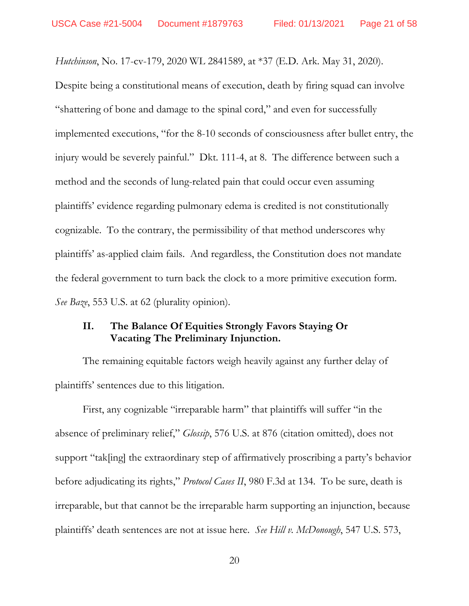*Hutchinson*, No. 17-cv-179, 2020 WL 2841589, at \*37 (E.D. Ark. May 31, 2020).

Despite being a constitutional means of execution, death by firing squad can involve "shattering of bone and damage to the spinal cord," and even for successfully implemented executions, "for the 8-10 seconds of consciousness after bullet entry, the injury would be severely painful." Dkt. 111-4, at 8. The difference between such a method and the seconds of lung-related pain that could occur even assuming plaintiffs' evidence regarding pulmonary edema is credited is not constitutionally cognizable. To the contrary, the permissibility of that method underscores why plaintiffs' as-applied claim fails. And regardless, the Constitution does not mandate the federal government to turn back the clock to a more primitive execution form. *See Baze*, 553 U.S. at 62 (plurality opinion).

# **II. The Balance Of Equities Strongly Favors Staying Or Vacating The Preliminary Injunction.**

The remaining equitable factors weigh heavily against any further delay of plaintiffs' sentences due to this litigation.

First, any cognizable "irreparable harm" that plaintiffs will suffer "in the absence of preliminary relief," *Glossip*, 576 U.S. at 876 (citation omitted), does not support "tak[ing] the extraordinary step of affirmatively proscribing a party's behavior before adjudicating its rights," *Protocol Cases II*, 980 F.3d at 134. To be sure, death is irreparable, but that cannot be the irreparable harm supporting an injunction, because plaintiffs' death sentences are not at issue here. *See Hill v. McDonough*, 547 U.S. 573,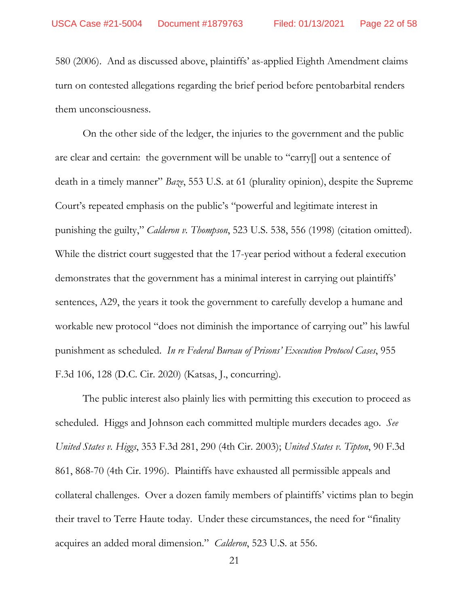580 (2006). And as discussed above, plaintiffs' as-applied Eighth Amendment claims turn on contested allegations regarding the brief period before pentobarbital renders them unconsciousness.

On the other side of the ledger, the injuries to the government and the public are clear and certain: the government will be unable to "carry[] out a sentence of death in a timely manner" *Baze*, 553 U.S. at 61 (plurality opinion), despite the Supreme Court's repeated emphasis on the public's "powerful and legitimate interest in punishing the guilty," *Calderon v. Thompson*, 523 U.S. 538, 556 (1998) (citation omitted). While the district court suggested that the 17-year period without a federal execution demonstrates that the government has a minimal interest in carrying out plaintiffs' sentences, A29, the years it took the government to carefully develop a humane and workable new protocol "does not diminish the importance of carrying out" his lawful punishment as scheduled. *In re Federal Bureau of Prisons' Execution Protocol Cases*, 955 F.3d 106, 128 (D.C. Cir. 2020) (Katsas, J., concurring).

The public interest also plainly lies with permitting this execution to proceed as scheduled. Higgs and Johnson each committed multiple murders decades ago. *See United States v. Higgs*, 353 F.3d 281, 290 (4th Cir. 2003); *United States v. Tipton*, 90 F.3d 861, 868-70 (4th Cir. 1996). Plaintiffs have exhausted all permissible appeals and collateral challenges. Over a dozen family members of plaintiffs' victims plan to begin their travel to Terre Haute today. Under these circumstances, the need for "finality acquires an added moral dimension." *Calderon*, 523 U.S. at 556.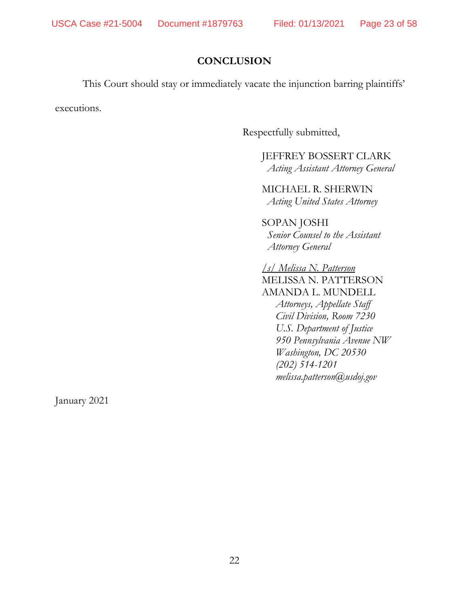## **CONCLUSION**

This Court should stay or immediately vacate the injunction barring plaintiffs'

executions.

Respectfully submitted,

JEFFREY BOSSERT CLARK *Acting Assistant Attorney General*

MICHAEL R. SHERWIN *Acting United States Attorney*

SOPAN JOSHI *Senior Counsel to the Assistant Attorney General*

*/s/ Melissa N. Patterson*  MELISSA N. PATTERSON AMANDA L. MUNDELL *Attorneys, Appellate Staff Civil Division, Room 7230 U.S. Department of Justice 950 Pennsylvania Avenue NW Washington, DC 20530 (202) 514-1201 melissa.patterson@usdoj.gov*

January 2021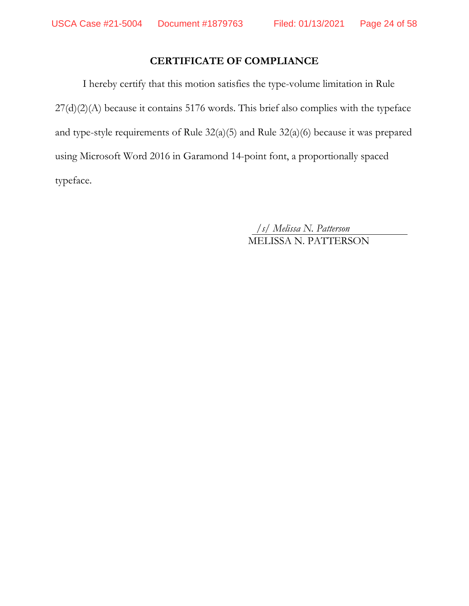# **CERTIFICATE OF COMPLIANCE**

I hereby certify that this motion satisfies the type-volume limitation in Rule 27(d)(2)(A) because it contains 5176 words. This brief also complies with the typeface and type-style requirements of Rule 32(a)(5) and Rule 32(a)(6) because it was prepared using Microsoft Word 2016 in Garamond 14-point font, a proportionally spaced typeface.

> */s/ Melissa N. Patterson* MELISSA N. PATTERSON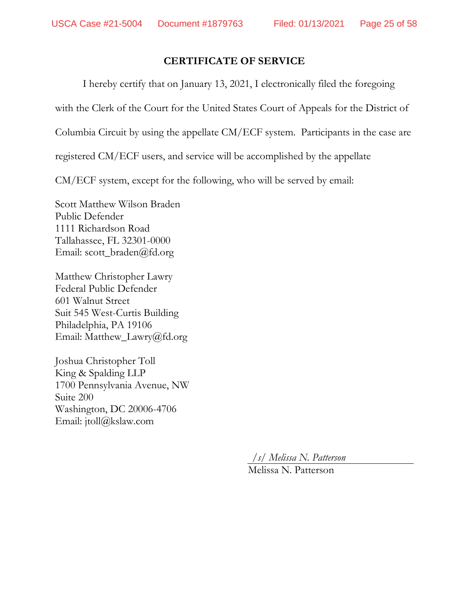# **CERTIFICATE OF SERVICE**

I hereby certify that on January 13, 2021, I electronically filed the foregoing

with the Clerk of the Court for the United States Court of Appeals for the District of

Columbia Circuit by using the appellate CM/ECF system. Participants in the case are

registered CM/ECF users, and service will be accomplished by the appellate

CM/ECF system, except for the following, who will be served by email:

Scott Matthew Wilson Braden Public Defender 1111 Richardson Road Tallahassee, FL 32301-0000 Email: scott\_braden@fd.org

Matthew Christopher Lawry Federal Public Defender 601 Walnut Street Suit 545 West-Curtis Building Philadelphia, PA 19106 Email: Matthew\_Lawry@fd.org

Joshua Christopher Toll King & Spalding LLP 1700 Pennsylvania Avenue, NW Suite 200 Washington, DC 20006-4706 Email: jtoll@kslaw.com

*/s/ Melissa N. Patterson*

Melissa N. Patterson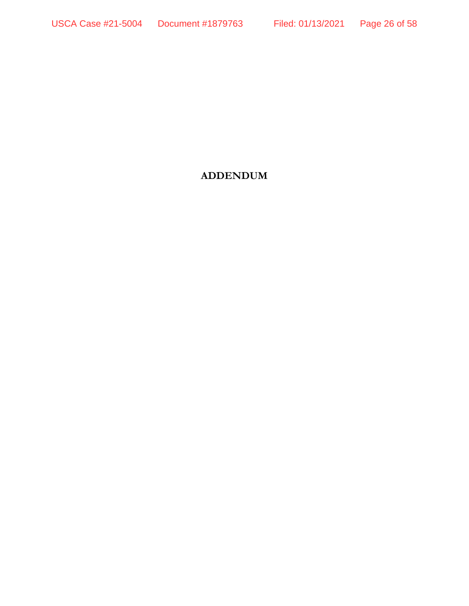# **ADDENDUM**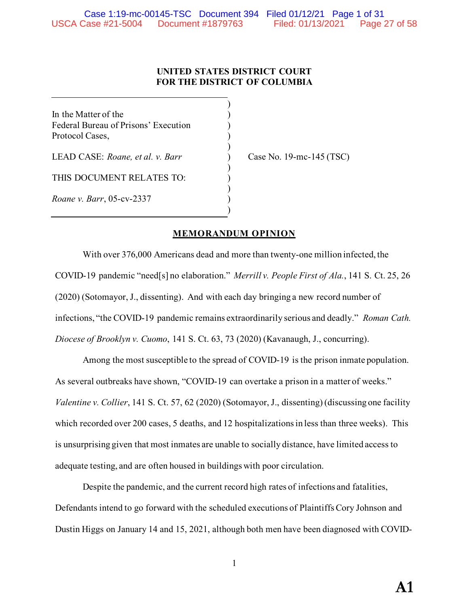## **UNITED STATES DISTRICT COURT FOR THE DISTRICT OF COLUMBIA**

)

)

)

)

)

In the Matter of the  $($ Federal Bureau of Prisons' Execution ) Protocol Cases, )

LEAD CASE: *Roane, et al. v. Barr* ) Case No. 19-mc-145 (TSC)

THIS DOCUMENT RELATES TO:  $\hskip10mm$  )

*Roane v. Barr*, 05-cv-2337 )

## **MEMORANDUM OPINION**

With over 376,000 Americans dead and more than twenty-one million infected, the COVID-19 pandemic "need[s] no elaboration." *Merrill v. People First of Ala.*, 141 S. Ct. 25, 26 (2020) (Sotomayor, J., dissenting). And with each day bringing a new record number of infections, "the COVID-19 pandemic remains extraordinarily serious and deadly." *Roman Cath. Diocese of Brooklyn v. Cuomo*, 141 S. Ct. 63, 73 (2020) (Kavanaugh, J., concurring).

Among the most susceptible to the spread of COVID-19 is the prison inmate population. As several outbreaks have shown, "COVID-19 can overtake a prison in a matter of weeks." *Valentine v. Collier*, 141 S. Ct. 57, 62 (2020) (Sotomayor, J., dissenting) (discussing one facility which recorded over 200 cases, 5 deaths, and 12 hospitalizations in less than three weeks). This is unsurprising given that most inmates are unable to socially distance, have limited access to adequate testing, and are often housed in buildings with poor circulation.

Despite the pandemic, and the current record high rates of infections and fatalities, Defendants intend to go forward with the scheduled executions of Plaintiffs Cory Johnson and Dustin Higgs on January 14 and 15, 2021, although both men have been diagnosed with COVID-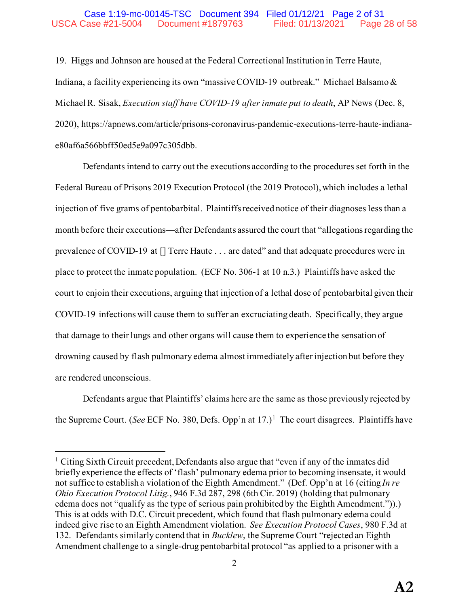19. Higgs and Johnson are housed at the Federal Correctional Institution in Terre Haute, Indiana, a facility experiencing its own "massive COVID-19 outbreak." Michael Balsamo & Michael R. Sisak, *Execution staff have COVID-19 after inmate put to death*, AP News (Dec. 8, 2020), https://apnews.com/article/prisons-coronavirus-pandemic-executions-terre-haute-indianae80af6a566bbff50ed5e9a097c305dbb.

Defendants intend to carry out the executions according to the procedures set forth in the Federal Bureau of Prisons 2019 Execution Protocol (the 2019 Protocol), which includes a lethal injection of five grams of pentobarbital. Plaintiffs received notice of their diagnoses less than a month before their executions—after Defendants assured the court that "allegations regarding the prevalence of COVID-19 at [] Terre Haute . . . are dated" and that adequate procedures were in place to protect the inmate population. (ECF No. 306-1 at 10 n.3.) Plaintiffs have asked the court to enjoin their executions, arguing that injection of a lethal dose of pentobarbital given their COVID-19 infections will cause them to suffer an excruciating death. Specifically, they argue that damage to their lungs and other organs will cause them to experience the sensation of drowning caused by flash pulmonary edema almost immediately after injection but before they are rendered unconscious.

Defendants argue that Plaintiffs' claims here are the same as those previously rejected by the Supreme Court. (See ECF No. 380, Defs. Opp'n at [1](#page-27-0)7.)<sup>1</sup> The court disagrees. Plaintiffs have

<span id="page-27-0"></span> $<sup>1</sup>$  Citing Sixth Circuit precedent, Defendants also argue that "even if any of the inmates did</sup> briefly experience the effects of 'flash' pulmonary edema prior to becoming insensate, it would not suffice to establish a violation of the Eighth Amendment." (Def. Opp'n at 16 (citing *In re Ohio Execution Protocol Litig.*, 946 F.3d 287, 298 (6th Cir. 2019) (holding that pulmonary edema does not "qualify as the type of serious pain prohibited by the Eighth Amendment.")).) This is at odds with D.C. Circuit precedent, which found that flash pulmonary edema could indeed give rise to an Eighth Amendment violation. *See Execution Protocol Cases*, 980 F.3d at 132. Defendants similarly contend that in *Bucklew*, the Supreme Court "rejected an Eighth Amendment challenge to a single-drug pentobarbital protocol "as applied to a prisoner with a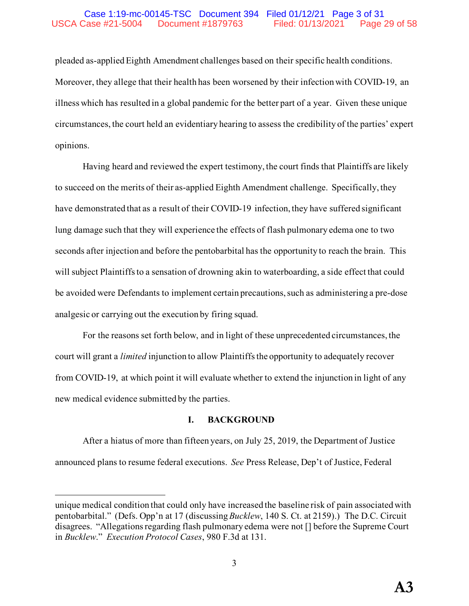### Case 1:19-mc-00145-TSC Document 394 Filed 01/12/21 Page 3 of 31 USCA Case #21-5004 Document #1879763 Filed: 01/13/2021 Page 29 of 58

pleaded as-applied Eighth Amendment challenges based on their specific health conditions. Moreover, they allege that their health has been worsened by their infection with COVID-19, an illness which has resulted in a global pandemic for the better part of a year. Given these unique circumstances, the court held an evidentiary hearing to assess the credibility of the parties' expert opinions.

Having heard and reviewed the expert testimony, the court finds that Plaintiffs are likely to succeed on the merits of their as-applied Eighth Amendment challenge. Specifically, they have demonstrated that as a result of their COVID-19 infection, they have suffered significant lung damage such that they will experience the effects of flash pulmonary edema one to two seconds after injection and before the pentobarbital has the opportunity to reach the brain. This will subject Plaintiffs to a sensation of drowning akin to waterboarding, a side effect that could be avoided were Defendants to implement certain precautions, such as administering a pre-dose analgesic or carrying out the execution by firing squad.

For the reasons set forth below, and in light of these unprecedented circumstances, the court will grant a *limited* injunction to allow Plaintiffs the opportunity to adequately recover from COVID-19, at which point it will evaluate whether to extend the injunction in light of any new medical evidence submitted by the parties.

#### **I. BACKGROUND**

After a hiatus of more than fifteen years, on July 25, 2019, the Department of Justice announced plans to resume federal executions. *See* Press Release, Dep't of Justice, Federal

unique medical condition that could only have increased the baseline risk of pain associated with pentobarbital." (Defs. Opp'n at 17 (discussing *Bucklew*, 140 S. Ct. at 2159).) The D.C. Circuit disagrees. "Allegations regarding flash pulmonary edema were not [] before the Supreme Court in *Bucklew*." *Execution Protocol Cases*, 980 F.3d at 131.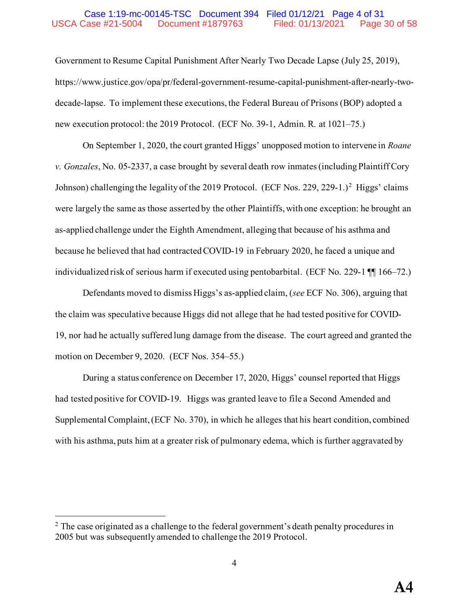#### Case 1:19-mc-00145-TSC Document 394 Filed 01/12/21 Page 4 of 31 USCA Case #21-5004 Document #1879763 Filed: 01/13/2021 Page 30 of 58

Government to Resume Capital Punishment After Nearly Two Decade Lapse (July 25, 2019), https://www.justice.gov/opa/pr/federal-government-resume-capital-punishment-after-nearly-twodecade-lapse. To implement these executions, the Federal Bureau of Prisons (BOP) adopted a new execution protocol: the 2019 Protocol. (ECF No. 39-1, Admin. R. at 1021–75.)

On September 1, 2020, the court granted Higgs' unopposed motion to intervene in *Roane v. Gonzales*, No. 05-2337, a case brought by several death row inmates (including Plaintiff Cory Johnson) challenging the legality of the [2](#page-29-0)019 Protocol. (ECF Nos. 229, 229-1.)<sup>2</sup> Higgs' claims were largely the same as those asserted by the other Plaintiffs, with one exception: he brought an as-applied challenge under the Eighth Amendment, alleging that because of his asthma and because he believed that had contracted COVID-19 in February 2020, he faced a unique and individualized risk of serious harm if executed using pentobarbital. (ECF No. 229-1 ¶¶ 166–72.)

Defendants moved to dismiss Higgs's as-applied claim, (*see* ECF No. 306), arguing that the claim was speculative because Higgs did not allege that he had tested positive for COVID-19, nor had he actually suffered lung damage from the disease. The court agreed and granted the motion on December 9, 2020. (ECF Nos. 354–55.)

During a status conference on December 17, 2020, Higgs' counsel reported that Higgs had tested positive for COVID-19. Higgs was granted leave to file a Second Amended and Supplemental Complaint, (ECF No. 370), in which he alleges that his heart condition, combined with his asthma, puts him at a greater risk of pulmonary edema, which is further aggravated by

<span id="page-29-0"></span> $2$  The case originated as a challenge to the federal government's death penalty procedures in 2005 but was subsequently amended to challenge the 2019 Protocol.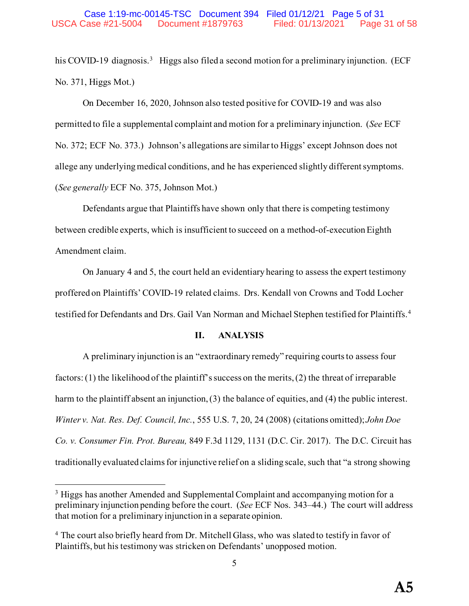his COVID-19 diagnosis.<sup>3</sup> Higgs also filed a second motion for a preliminary injunction. (ECF No. 371, Higgs Mot.)

On December 16, 2020, Johnson also tested positive for COVID-19 and was also permitted to file a supplemental complaint and motion for a preliminary injunction. (*See* ECF No. 372; ECF No. 373.) Johnson's allegations are similar to Higgs' except Johnson does not allege any underlying medical conditions, and he has experienced slightly different symptoms. (*See generally* ECF No. 375, Johnson Mot.)

Defendants argue that Plaintiffs have shown only that there is competing testimony between credible experts, which is insufficient to succeed on a method-of-execution Eighth Amendment claim.

On January 4 and 5, the court held an evidentiary hearing to assess the expert testimony proffered on Plaintiffs' COVID-19 related claims. Drs. Kendall von Crowns and Todd Locher testified for Defendants and Drs. Gail Van Norman and Michael Stephen testified for Plaintiffs.<sup>[4](#page-30-1)</sup>

#### **II. ANALYSIS**

A preliminary injunction is an "extraordinary remedy" requiring courts to assess four factors: (1) the likelihood of the plaintiff's success on the merits, (2) the threat of irreparable harm to the plaintiff absent an injunction, (3) the balance of equities, and (4) the public interest. *Winter v. Nat. Res. Def. Council, Inc.*, 555 U.S. 7, 20, 24 (2008) (citations omitted); *John Doe Co. v. Consumer Fin. Prot. Bureau,* 849 F.3d 1129, 1131 (D.C. Cir. 2017). The D.C. Circuit has traditionally evaluated claims for injunctive relief on a sliding scale, such that "a strong showing

<span id="page-30-0"></span><sup>&</sup>lt;sup>3</sup> Higgs has another Amended and Supplemental Complaint and accompanying motion for a preliminary injunction pending before the court. (*See* ECF Nos. 343–44.) The court will address that motion for a preliminary injunction in a separate opinion.

<span id="page-30-1"></span><sup>4</sup> The court also briefly heard from Dr. Mitchell Glass, who was slated to testify in favor of Plaintiffs, but his testimony was stricken on Defendants' unopposed motion.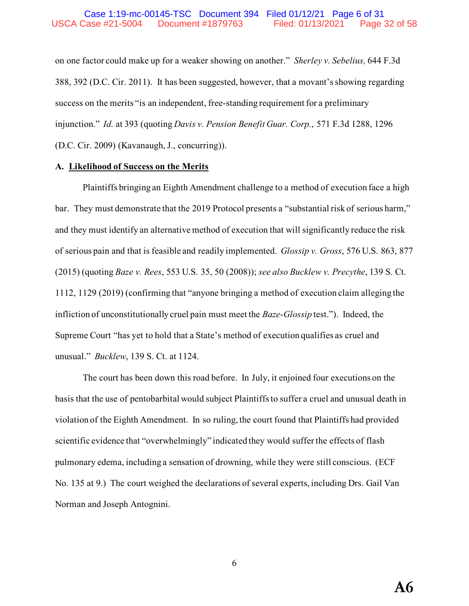on one factor could make up for a weaker showing on another." *Sherley v. Sebelius,* 644 F.3d 388, 392 (D.C. Cir. 2011). It has been suggested, however, that a movant's showing regarding success on the merits "is an independent, free-standing requirement for a preliminary injunction." *Id.* at 393 (quoting *Davis v. Pension Benefit Guar. Corp.*, 571 F.3d 1288, 1296 (D.C. Cir. 2009) (Kavanaugh, J., concurring)).

#### **A. Likelihood of Success on the Merits**

Plaintiffs bringing an Eighth Amendment challenge to a method of execution face a high bar. They must demonstrate that the 2019 Protocol presents a "substantial risk of serious harm," and they must identify an alternative method of execution that will significantly reduce the risk of serious pain and that is feasible and readily implemented. *Glossip v. Gross*, 576 U.S. 863, 877 (2015) (quoting *Baze v. Rees*, 553 U.S. 35, 50 (2008)); *see also Bucklew v. Precythe*, 139 S. Ct. 1112, 1129 (2019) (confirming that "anyone bringing a method of execution claim alleging the infliction of unconstitutionally cruel pain must meet the *Baze*-*Glossip* test."). Indeed, the Supreme Court "has yet to hold that a State's method of execution qualifies as cruel and unusual." *Bucklew*, 139 S. Ct. at 1124.

The court has been down this road before. In July, it enjoined four executions on the basis that the use of pentobarbital would subject Plaintiffs to suffer a cruel and unusual death in violation of the Eighth Amendment. In so ruling, the court found that Plaintiffs had provided scientific evidence that "overwhelmingly" indicated they would suffer the effects of flash pulmonary edema, including a sensation of drowning, while they were still conscious. (ECF No. 135 at 9.) The court weighed the declarations of several experts, including Drs. Gail Van Norman and Joseph Antognini.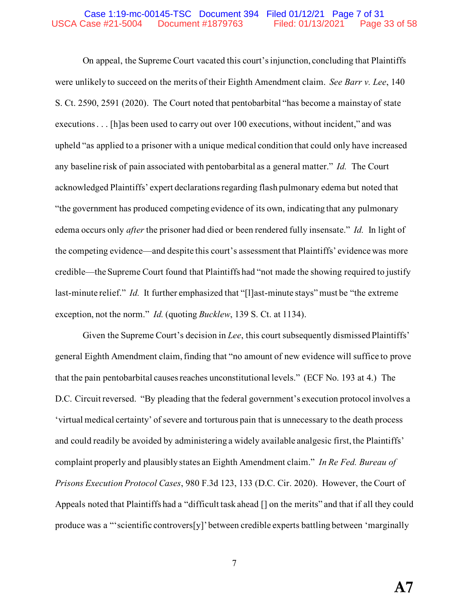#### Case 1:19-mc-00145-TSC Document 394 Filed 01/12/21 Page 7 of 31 USCA Case #21-5004 Document #1879763 Filed: 01/13/2021 Page 33 of 58

On appeal, the Supreme Court vacated this court's injunction, concluding that Plaintiffs were unlikely to succeed on the merits of their Eighth Amendment claim. *See Barr v. Lee*, 140 S. Ct. 2590, 2591 (2020). The Court noted that pentobarbital "has become a mainstay of state executions . . . [h]as been used to carry out over 100 executions, without incident," and was upheld "as applied to a prisoner with a unique medical condition that could only have increased any baseline risk of pain associated with pentobarbital as a general matter." *Id.* The Court acknowledged Plaintiffs' expert declarations regarding flash pulmonary edema but noted that "the government has produced competing evidence of its own, indicating that any pulmonary edema occurs only *after* the prisoner had died or been rendered fully insensate." *Id.* In light of the competing evidence—and despite this court's assessment that Plaintiffs' evidence was more credible—the Supreme Court found that Plaintiffs had "not made the showing required to justify last-minute relief." *Id.* It further emphasized that "[I]ast-minute stays" must be "the extreme exception, not the norm." *Id.* (quoting *Bucklew*, 139 S. Ct. at 1134).

Given the Supreme Court's decision in *Lee*, this court subsequently dismissed Plaintiffs' general Eighth Amendment claim, finding that "no amount of new evidence will suffice to prove that the pain pentobarbital causes reaches unconstitutional levels." (ECF No. 193 at 4.) The D.C. Circuit reversed. "By pleading that the federal government's execution protocol involves a 'virtual medical certainty' of severe and torturous pain that is unnecessary to the death process and could readily be avoided by administering a widely available analgesic first, the Plaintiffs' complaint properly and plausibly states an Eighth Amendment claim." *In Re Fed. Bureau of Prisons Execution Protocol Cases*, 980 F.3d 123, 133 (D.C. Cir. 2020). However, the Court of Appeals noted that Plaintiffs had a "difficult task ahead [] on the merits" and that if all they could produce was a "'scientific controvers[y]' between credible experts battling between 'marginally

7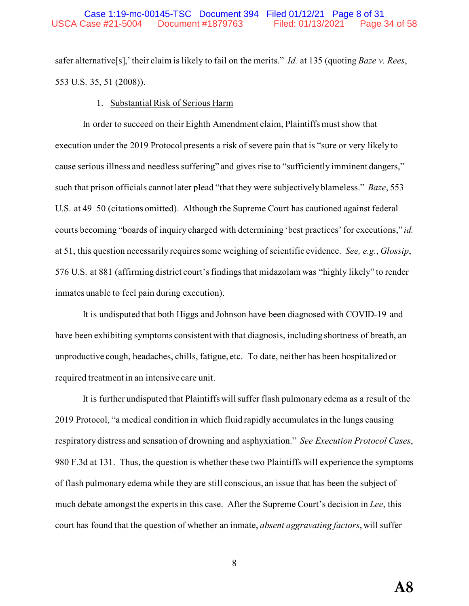safer alternative[s],' their claim is likely to fail on the merits." *Id.* at 135 (quoting *Baze v. Rees*, 553 U.S. 35, 51 (2008)).

#### 1. Substantial Risk of Serious Harm

In order to succeed on their Eighth Amendment claim, Plaintiffs must show that execution under the 2019 Protocol presents a risk of severe pain that is "sure or very likely to cause serious illness and needless suffering" and gives rise to "sufficiently imminent dangers," such that prison officials cannot later plead "that they were subjectively blameless." *Baze*, 553 U.S. at 49–50 (citations omitted). Although the Supreme Court has cautioned against federal courts becoming "boards of inquiry charged with determining 'best practices' for executions," *id.* at 51, this question necessarily requires some weighing of scientific evidence. *See, e.g.*, *Glossip*, 576 U.S. at 881 (affirming district court's findings that midazolam was "highly likely" to render inmates unable to feel pain during execution).

It is undisputed that both Higgs and Johnson have been diagnosed with COVID-19 and have been exhibiting symptoms consistent with that diagnosis, including shortness of breath, an unproductive cough, headaches, chills, fatigue, etc. To date, neither has been hospitalized or required treatment in an intensive care unit.

It is further undisputed that Plaintiffs will suffer flash pulmonary edema as a result of the 2019 Protocol, "a medical condition in which fluid rapidly accumulates in the lungs causing respiratory distress and sensation of drowning and asphyxiation." *See Execution Protocol Cases*, 980 F.3d at 131. Thus, the question is whether these two Plaintiffs will experience the symptoms of flash pulmonary edema while they are still conscious, an issue that has been the subject of much debate amongst the experts in this case. After the Supreme Court's decision in *Lee*, this court has found that the question of whether an inmate, *absent aggravating factors*, will suffer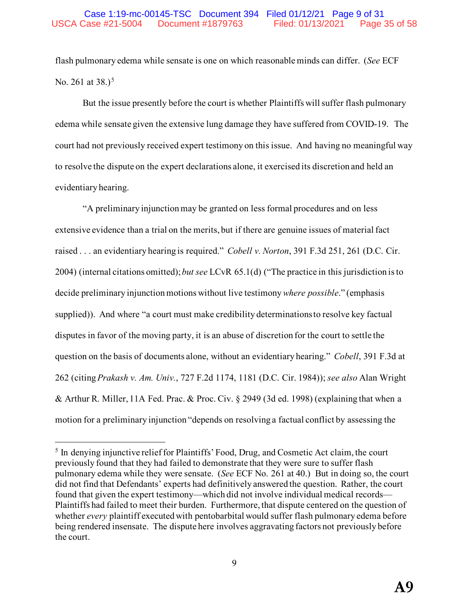flash pulmonary edema while sensate is one on which reasonable minds can differ. (*See* ECF No. 261 at  $38.$ )<sup>[5](#page-34-0)</sup>

But the issue presently before the court is whether Plaintiffs will suffer flash pulmonary edema while sensate given the extensive lung damage they have suffered from COVID-19. The court had not previously received expert testimony on this issue. And having no meaningful way to resolve the dispute on the expert declarations alone, it exercised its discretion and held an evidentiary hearing.

"A preliminary injunction may be granted on less formal procedures and on less extensive evidence than a trial on the merits, but if there are genuine issues of material fact raised . . . an evidentiary hearing is required." *Cobell v. Norton*, 391 F.3d 251, 261 (D.C. Cir. 2004) (internal citations omitted); *but see* LCvR 65.1(d) ("The practice in this jurisdiction is to decide preliminary injunction motions without live testimony *where possible*." (emphasis supplied)). And where "a court must make credibility determinations to resolve key factual disputes in favor of the moving party, it is an abuse of discretion for the court to settle the question on the basis of documents alone, without an evidentiary hearing." *Cobell*, 391 F.3d at 262 (citing *Prakash v. Am. Univ.*, 727 F.2d 1174, 1181 (D.C. Cir. 1984)); *see also* Alan Wright & Arthur R. Miller, 11A Fed. Prac. & Proc. Civ. § 2949 (3d ed. 1998) (explaining that when a motion for a preliminary injunction "depends on resolving a factual conflict by assessing the

<span id="page-34-0"></span><sup>5</sup> In denying injunctive relief for Plaintiffs' Food, Drug, and Cosmetic Act claim, the court previously found that they had failed to demonstrate that they were sure to suffer flash pulmonary edema while they were sensate. (*See* ECF No. 261 at 40.) But in doing so, the court did not find that Defendants' experts had definitively answered the question. Rather, the court found that given the expert testimony—which did not involve individual medical records— Plaintiffs had failed to meet their burden. Furthermore, that dispute centered on the question of whether *every* plaintiff executed with pentobarbital would suffer flash pulmonary edema before being rendered insensate. The dispute here involves aggravating factors not previously before the court.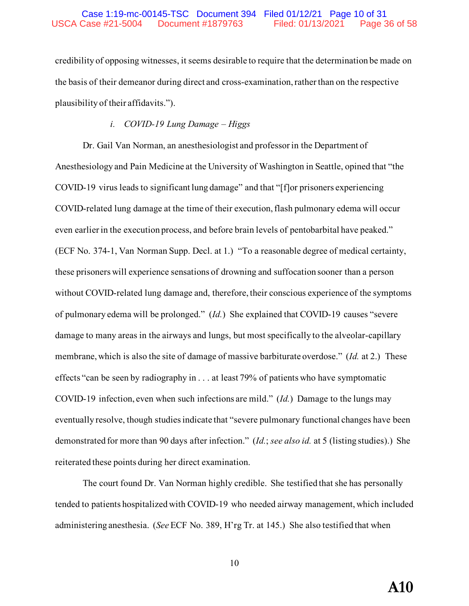credibility of opposing witnesses, it seems desirable to require that the determination be made on the basis of their demeanor during direct and cross-examination, rather than on the respective plausibility of their affidavits.").

## *i. COVID-19 Lung Damage – Higgs*

Dr. Gail Van Norman, an anesthesiologist and professor in the Department of Anesthesiology and Pain Medicine at the University of Washington in Seattle, opined that "the COVID-19 virus leads to significant lung damage" and that "[f]or prisoners experiencing COVID-related lung damage at the time of their execution, flash pulmonary edema will occur even earlier in the execution process, and before brain levels of pentobarbital have peaked." (ECF No. 374-1, Van Norman Supp. Decl. at 1.) "To a reasonable degree of medical certainty, these prisoners will experience sensations of drowning and suffocation sooner than a person without COVID-related lung damage and, therefore, their conscious experience of the symptoms of pulmonary edema will be prolonged." (*Id.*) She explained that COVID-19 causes "severe damage to many areas in the airways and lungs, but most specifically to the alveolar-capillary membrane, which is also the site of damage of massive barbiturate overdose." (*Id.* at 2.) These effects "can be seen by radiography in . . . at least 79% of patients who have symptomatic COVID-19 infection, even when such infections are mild." (*Id.*) Damage to the lungs may eventually resolve, though studies indicate that "severe pulmonary functional changes have been demonstrated for more than 90 days after infection." (*Id.*; *see also id.* at 5 (listing studies).) She reiterated these points during her direct examination.

The court found Dr. Van Norman highly credible. She testified that she has personally tended to patients hospitalized with COVID-19 who needed airway management, which included administering anesthesia. (*See* ECF No. 389, H'rg Tr. at 145.) She also testified that when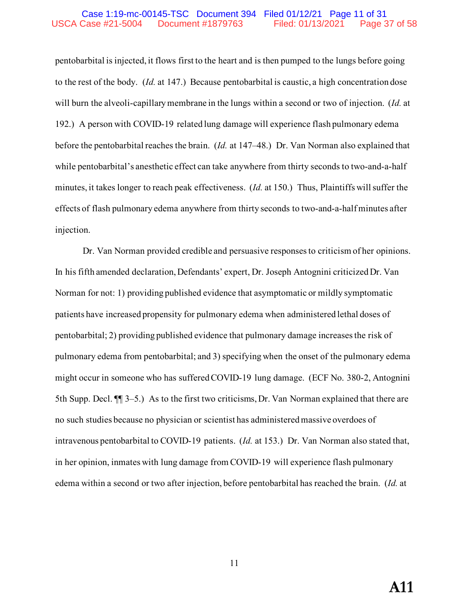#### Case 1:19-mc-00145-TSC Document 394 Filed 01/12/21 Page 11 of 31 USCA Case #21-5004 Document #1879763 Filed: 01/13/2021 Page 37 of 58

pentobarbital is injected, it flows first to the heart and is then pumped to the lungs before going to the rest of the body. (*Id.* at 147.) Because pentobarbital is caustic, a high concentration dose will burn the alveoli-capillary membrane in the lungs within a second or two of injection. (*Id.* at 192.) A person with COVID-19 related lung damage will experience flash pulmonary edema before the pentobarbital reaches the brain. (*Id.* at 147–48.) Dr. Van Norman also explained that while pentobarbital's anesthetic effect can take anywhere from thirty seconds to two-and-a-half minutes, it takes longer to reach peak effectiveness. (*Id.* at 150.) Thus, Plaintiffs will suffer the effects of flash pulmonary edema anywhere from thirty seconds to two-and-a-half minutes after injection.

Dr. Van Norman provided credible and persuasive responsesto criticism of her opinions. In his fifth amended declaration, Defendants' expert, Dr. Joseph Antognini criticized Dr. Van Norman for not: 1) providing published evidence that asymptomatic or mildly symptomatic patients have increased propensity for pulmonary edema when administered lethal doses of pentobarbital; 2) providing published evidence that pulmonary damage increases the risk of pulmonary edema from pentobarbital; and 3) specifying when the onset of the pulmonary edema might occur in someone who has suffered COVID-19 lung damage. (ECF No. 380-2, Antognini 5th Supp. Decl. ¶¶ 3–5.) As to the first two criticisms, Dr. Van Norman explained that there are no such studies because no physician or scientist has administered massive overdoes of intravenous pentobarbital to COVID-19 patients. (*Id.* at 153.) Dr. Van Norman also stated that, in her opinion, inmates with lung damage from COVID-19 will experience flash pulmonary edema within a second or two after injection, before pentobarbital has reached the brain. (*Id.* at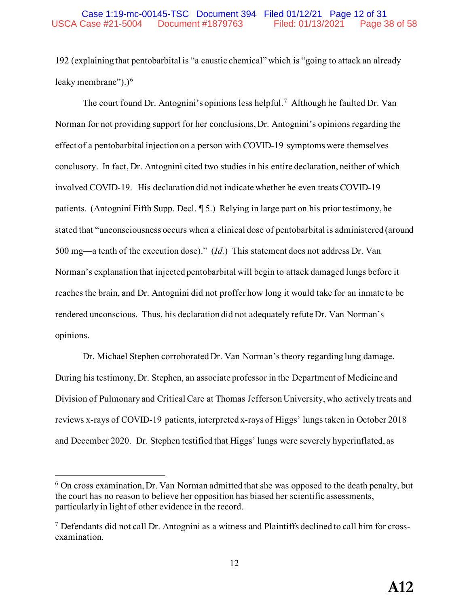192 (explaining that pentobarbital is "a caustic chemical" which is "going to attack an already leaky membrane").) $<sup>6</sup>$  $<sup>6</sup>$  $<sup>6</sup>$ </sup>

The court found Dr. Antognini's opinions less helpful.<sup>[7](#page-37-1)</sup> Although he faulted Dr. Van Norman for not providing support for her conclusions, Dr. Antognini's opinions regarding the effect of a pentobarbital injection on a person with COVID-19 symptoms were themselves conclusory. In fact, Dr. Antognini cited two studies in his entire declaration, neither of which involved COVID-19. His declaration did not indicate whether he even treats COVID-19 patients. (Antognini Fifth Supp. Decl. ¶ 5.) Relying in large part on his prior testimony, he stated that "unconsciousness occurs when a clinical dose of pentobarbital is administered (around 500 mg—a tenth of the execution dose)." (*Id.*) This statement does not address Dr. Van Norman's explanation that injected pentobarbital will begin to attack damaged lungs before it reaches the brain, and Dr. Antognini did not proffer how long it would take for an inmate to be rendered unconscious. Thus, his declaration did not adequately refute Dr. Van Norman's opinions.

Dr. Michael Stephen corroborated Dr. Van Norman's theory regarding lung damage. During his testimony, Dr. Stephen, an associate professor in the Department of Medicine and Division of Pulmonary and Critical Care at Thomas Jefferson University, who actively treats and reviews x-rays of COVID-19 patients, interpreted x-rays of Higgs' lungs taken in October 2018 and December 2020. Dr. Stephen testified that Higgs' lungs were severely hyperinflated, as

<span id="page-37-0"></span> $6$  On cross examination, Dr. Van Norman admitted that she was opposed to the death penalty, but the court has no reason to believe her opposition has biased her scientific assessments, particularly in light of other evidence in the record.

<span id="page-37-1"></span><sup>7</sup> Defendants did not call Dr. Antognini as a witness and Plaintiffs declined to call him for crossexamination.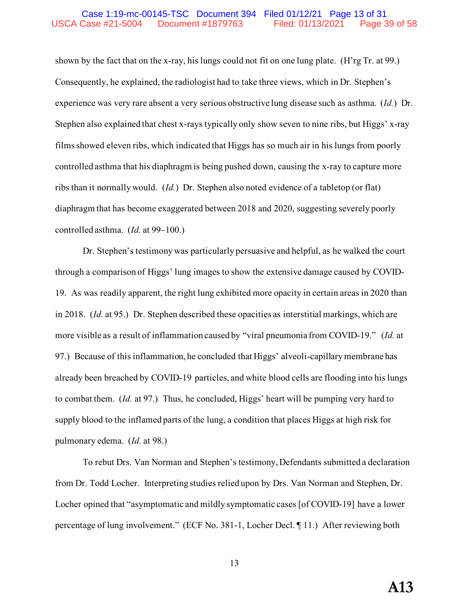#### Case 1:19-mc-00145-TSC Document 394 Filed 01/12/21 Page 13 of 31 USCA Case #21-5004 Document #1879763 Filed: 01/13/2021 Page 39 of 58

shown by the fact that on the x-ray, his lungs could not fit on one lung plate. (H'rg Tr. at 99.) Consequently, he explained, the radiologist had to take three views, which in Dr. Stephen's experience was very rare absent a very serious obstructive lung disease such as asthma. (*Id.*) Dr. Stephen also explained that chest x-rays typically only show seven to nine ribs, but Higgs' x-ray films showed eleven ribs, which indicated that Higgs has so much air in his lungs from poorly controlled asthma that his diaphragm is being pushed down, causing the x-ray to capture more ribs than it normally would. (*Id.*) Dr. Stephen also noted evidence of a tabletop (or flat) diaphragm that has become exaggerated between 2018 and 2020, suggesting severely poorly controlled asthma. (*Id.* at 99–100.)

Dr. Stephen's testimony was particularly persuasive and helpful, as he walked the court through a comparison of Higgs' lung images to show the extensive damage caused by COVID-19. As was readily apparent, the right lung exhibited more opacity in certain areas in 2020 than in 2018. (*Id.* at 95.) Dr. Stephen described these opacities as interstitial markings, which are more visible as a result of inflammation caused by "viral pneumonia from COVID-19." (*Id.* at 97.) Because of this inflammation, he concluded that Higgs' alveoli-capillary membrane has already been breached by COVID-19 particles, and white blood cells are flooding into his lungs to combat them. (*Id.* at 97.) Thus, he concluded, Higgs' heart will be pumping very hard to supply blood to the inflamed parts of the lung, a condition that places Higgs at high risk for pulmonary edema. (*Id.* at 98.)

 To rebut Drs. Van Norman and Stephen's testimony, Defendants submitted a declaration from Dr. Todd Locher. Interpreting studies relied upon by Drs. Van Norman and Stephen, Dr. Locher opined that "asymptomatic and mildly symptomatic cases [of COVID-19] have a lower percentage of lung involvement." (ECF No. 381-1, Locher Decl. ¶ 11.) After reviewing both

13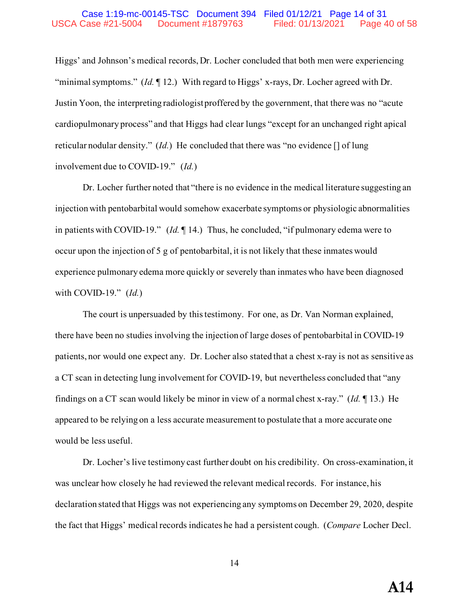#### Case 1:19-mc-00145-TSC Document 394 Filed 01/12/21 Page 14 of 31 USCA Case #21-5004 Document #1879763 Filed: 01/13/2021 Page 40 of 58

Higgs' and Johnson's medical records, Dr. Locher concluded that both men were experiencing "minimal symptoms." (*Id.* ¶ 12.) With regard to Higgs' x-rays, Dr. Locher agreed with Dr. Justin Yoon, the interpreting radiologist proffered by the government, that there was no "acute cardiopulmonary process" and that Higgs had clear lungs "except for an unchanged right apical reticular nodular density." (*Id.*) He concluded that there was "no evidence [] of lung involvement due to COVID-19." (*Id.*)

Dr. Locher further noted that "there is no evidence in the medical literature suggesting an injection with pentobarbital would somehow exacerbate symptoms or physiologic abnormalities in patients with COVID-19." (*Id.* ¶ 14.) Thus, he concluded, "if pulmonary edema were to occur upon the injection of 5 g of pentobarbital, it is not likely that these inmates would experience pulmonary edema more quickly or severely than inmates who have been diagnosed with COVID-19." (*Id.*)

 The court is unpersuaded by this testimony. For one, as Dr. Van Norman explained, there have been no studies involving the injection of large doses of pentobarbital in COVID-19 patients, nor would one expect any. Dr. Locher also stated that a chest x-ray is not as sensitive as a CT scan in detecting lung involvement for COVID-19, but nevertheless concluded that "any findings on a CT scan would likely be minor in view of a normal chest x-ray." (*Id.* ¶ 13.) He appeared to be relying on a less accurate measurement to postulate that a more accurate one would be less useful.

Dr. Locher's live testimony cast further doubt on his credibility. On cross-examination, it was unclear how closely he had reviewed the relevant medical records. For instance, his declaration stated that Higgs was not experiencing any symptoms on December 29, 2020, despite the fact that Higgs' medical records indicates he had a persistent cough. (*Compare* Locher Decl.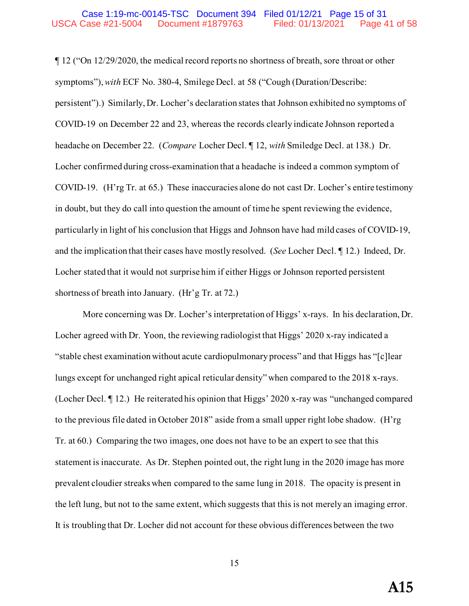#### Case 1:19-mc-00145-TSC Document 394 Filed 01/12/21 Page 15 of 31 USCA Case #21-5004 Document #1879763 Filed: 01/13/2021 Page 41 of 58

¶ 12 ("On 12/29/2020, the medical record reports no shortness of breath, sore throat or other symptoms"), *with* ECF No. 380-4, Smilege Decl. at 58 ("Cough (Duration/Describe: persistent").) Similarly, Dr. Locher's declaration states that Johnson exhibited no symptoms of COVID-19 on December 22 and 23, whereas the records clearly indicate Johnson reported a headache on December 22. (*Compare* Locher Decl. ¶ 12, *with* Smiledge Decl. at 138.) Dr. Locher confirmed during cross-examination that a headache is indeed a common symptom of COVID-19. (H'rg Tr. at 65.) These inaccuracies alone do not cast Dr. Locher's entire testimony in doubt, but they do call into question the amount of time he spent reviewing the evidence, particularly in light of his conclusion that Higgs and Johnson have had mild cases of COVID-19, and the implication that their cases have mostly resolved. (*See* Locher Decl. ¶ 12.) Indeed, Dr. Locher stated that it would not surprise him if either Higgs or Johnson reported persistent shortness of breath into January. (Hr'g Tr. at 72.)

More concerning was Dr. Locher's interpretation of Higgs' x-rays. In his declaration, Dr. Locher agreed with Dr. Yoon, the reviewing radiologist that Higgs' 2020 x-ray indicated a "stable chest examination without acute cardiopulmonary process" and that Higgs has "[c]lear lungs except for unchanged right apical reticular density" when compared to the 2018 x-rays. (Locher Decl. ¶ 12.) He reiterated his opinion that Higgs' 2020 x-ray was "unchanged compared to the previous file dated in October 2018" aside from a small upper right lobe shadow. (H'rg Tr. at 60.) Comparing the two images, one does not have to be an expert to see that this statement is inaccurate. As Dr. Stephen pointed out, the right lung in the 2020 image has more prevalent cloudier streaks when compared to the same lung in 2018. The opacity is present in the left lung, but not to the same extent, which suggests that this is not merely an imaging error. It is troubling that Dr. Locher did not account for these obvious differences between the two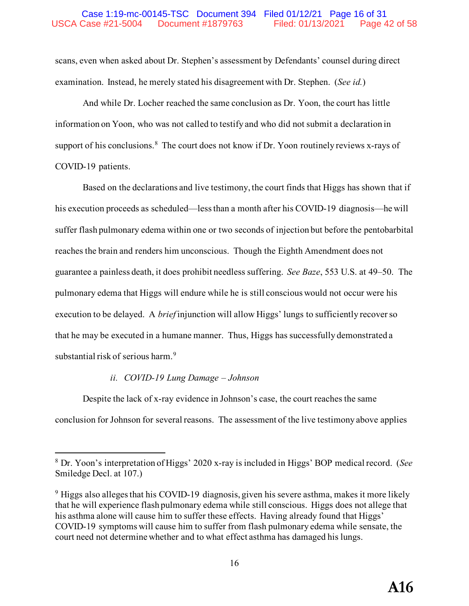### Case 1:19-mc-00145-TSC Document 394 Filed 01/12/21 Page 16 of 31 USCA Case #21-5004 Document #1879763 Filed: 01/13/2021 Page 42 of 58

scans, even when asked about Dr. Stephen's assessment by Defendants' counsel during direct examination. Instead, he merely stated his disagreement with Dr. Stephen. (*See id.*)

And while Dr. Locher reached the same conclusion as Dr. Yoon, the court has little information on Yoon, who was not called to testify and who did not submit a declaration in support of his conclusions. $8$  The court does not know if Dr. Yoon routinely reviews x-rays of COVID-19 patients.

Based on the declarations and live testimony, the court finds that Higgs has shown that if his execution proceeds as scheduled—less than a month after his COVID-19 diagnosis—he will suffer flash pulmonary edema within one or two seconds of injection but before the pentobarbital reaches the brain and renders him unconscious. Though the Eighth Amendment does not guarantee a painless death, it does prohibit needless suffering. *See Baze*, 553 U.S. at 49–50. The pulmonary edema that Higgs will endure while he is still conscious would not occur were his execution to be delayed. A *brief* injunction will allow Higgs' lungs to sufficiently recover so that he may be executed in a humane manner. Thus, Higgs has successfully demonstrated a substantial risk of serious harm.<sup>[9](#page-41-1)</sup>

#### *ii. COVID-19 Lung Damage – Johnson*

Despite the lack of x-ray evidence in Johnson's case, the court reaches the same conclusion for Johnson for several reasons. The assessment of the live testimony above applies

<span id="page-41-0"></span><sup>8</sup> Dr. Yoon's interpretation of Higgs' 2020 x-ray is included in Higgs' BOP medical record. (*See* Smiledge Decl. at 107.)

<span id="page-41-1"></span> $9$  Higgs also alleges that his COVID-19 diagnosis, given his severe asthma, makes it more likely that he will experience flash pulmonary edema while still conscious. Higgs does not allege that his asthma alone will cause him to suffer these effects. Having already found that Higgs' COVID-19 symptoms will cause him to suffer from flash pulmonary edema while sensate, the court need not determine whether and to what effect asthma has damaged his lungs.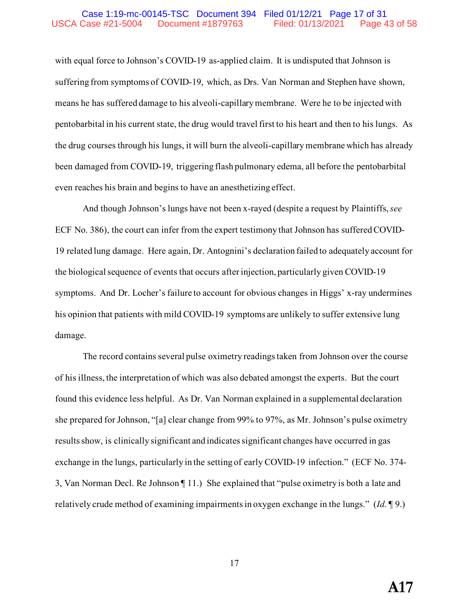#### Case 1:19-mc-00145-TSC Document 394 Filed 01/12/21 Page 17 of 31 USCA Case #21-5004 Document #1879763 Filed: 01/13/2021 Page 43 of 58

with equal force to Johnson's COVID-19 as-applied claim. It is undisputed that Johnson is suffering from symptoms of COVID-19, which, as Drs. Van Norman and Stephen have shown, means he has suffered damage to his alveoli-capillary membrane. Were he to be injected with pentobarbital in his current state, the drug would travel first to his heart and then to his lungs. As the drug courses through his lungs, it will burn the alveoli-capillary membrane which has already been damaged from COVID-19, triggering flash pulmonary edema, all before the pentobarbital even reaches his brain and begins to have an anesthetizing effect.

And though Johnson's lungs have not been x-rayed (despite a request by Plaintiffs, *see* ECF No. 386), the court can infer from the expert testimony that Johnson has suffered COVID-19 related lung damage. Here again, Dr. Antognini's declaration failed to adequately account for the biological sequence of events that occurs after injection, particularly given COVID-19 symptoms. And Dr. Locher's failure to account for obvious changes in Higgs' x-ray undermines his opinion that patients with mild COVID-19 symptoms are unlikely to suffer extensive lung damage.

The record contains several pulse oximetry readings taken from Johnson over the course of his illness, the interpretation of which was also debated amongst the experts. But the court found this evidence less helpful. As Dr. Van Norman explained in a supplemental declaration she prepared for Johnson, "[a] clear change from 99% to 97%, as Mr. Johnson's pulse oximetry results show, is clinically significant and indicates significant changes have occurred in gas exchange in the lungs, particularly in the setting of early COVID-19 infection." (ECF No. 374- 3, Van Norman Decl. Re Johnson ¶ 11.) She explained that "pulse oximetry is both a late and relatively crude method of examining impairments in oxygen exchange in the lungs." (*Id.* ¶ 9.)

17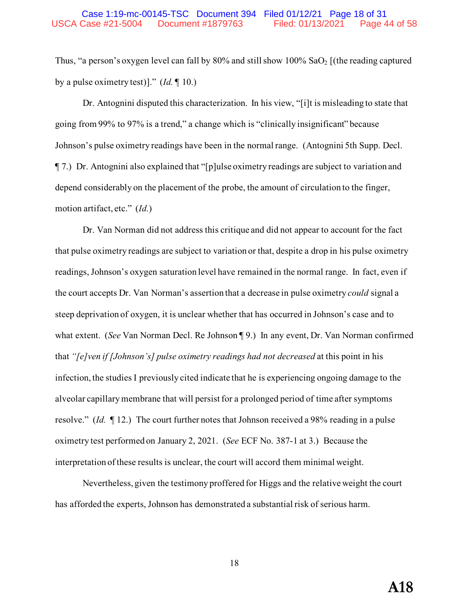Thus, "a person's oxygen level can fall by  $80\%$  and still show  $100\%$  SaO<sub>2</sub> [(the reading captured by a pulse oximetry test)]." (*Id.* ¶ 10.)

Dr. Antognini disputed this characterization. In his view, "[i]t is misleading to state that going from 99% to 97% is a trend," a change which is "clinically insignificant" because Johnson's pulse oximetry readings have been in the normal range. (Antognini 5th Supp. Decl. ¶ 7.) Dr. Antognini also explained that "[p]ulse oximetry readings are subject to variation and depend considerably on the placement of the probe, the amount of circulation to the finger, motion artifact, etc." (*Id.*)

Dr. Van Norman did not address this critique and did not appear to account for the fact that pulse oximetry readings are subject to variation or that, despite a drop in his pulse oximetry readings, Johnson's oxygen saturation level have remained in the normal range. In fact, even if the court accepts Dr. Van Norman's assertion that a decrease in pulse oximetry *could* signal a steep deprivation of oxygen, it is unclear whether that has occurred in Johnson's case and to what extent. (*See* Van Norman Decl. Re Johnson ¶ 9.) In any event, Dr. Van Norman confirmed that *"[e]ven if [Johnson's] pulse oximetry readings had not decreased* at this point in his infection, the studies I previously cited indicate that he is experiencing ongoing damage to the alveolar capillary membrane that will persist for a prolonged period of time after symptoms resolve." (*Id.* ¶ 12.) The court further notes that Johnson received a 98% reading in a pulse oximetry test performed on January 2, 2021. (*See* ECF No. 387-1 at 3.) Because the interpretation of these results is unclear, the court will accord them minimal weight.

Nevertheless, given the testimony proffered for Higgs and the relative weight the court has afforded the experts, Johnson has demonstrated a substantial risk of serious harm.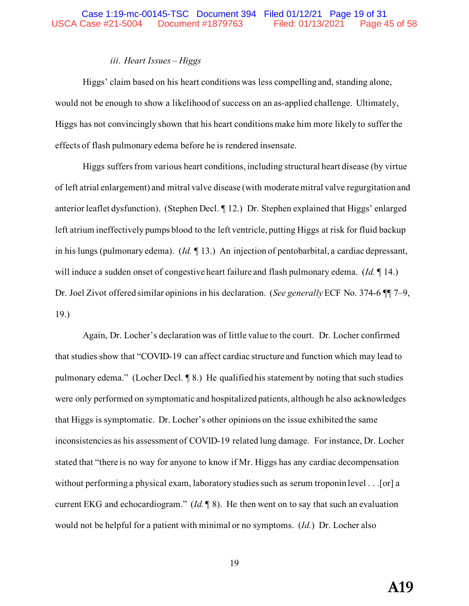## *iii. Heart Issues – Higgs*

Higgs' claim based on his heart conditions was less compelling and, standing alone, would not be enough to show a likelihood of success on an as-applied challenge. Ultimately, Higgs has not convincingly shown that his heart conditions make him more likely to suffer the effects of flash pulmonary edema before he is rendered insensate.

Higgs suffers from various heart conditions, including structural heart disease (by virtue of left atrial enlargement) and mitral valve disease (with moderate mitral valve regurgitation and anterior leaflet dysfunction). (Stephen Decl. ¶ 12.) Dr. Stephen explained that Higgs' enlarged left atrium ineffectively pumps blood to the left ventricle, putting Higgs at risk for fluid backup in his lungs (pulmonary edema). (*Id.* ¶ 13.) An injection of pentobarbital, a cardiac depressant, will induce a sudden onset of congestive heart failure and flash pulmonary edema. (*Id.* ¶ 14.) Dr. Joel Zivot offered similar opinions in his declaration. (*See generally* ECF No. 374-6 ¶¶ 7–9, 19.)

Again, Dr. Locher's declaration was of little value to the court. Dr. Locher confirmed that studies show that "COVID-19 can affect cardiac structure and function which may lead to pulmonary edema." (Locher Decl. ¶ 8.) He qualified his statement by noting that such studies were only performed on symptomatic and hospitalized patients, although he also acknowledges that Higgs is symptomatic. Dr. Locher's other opinions on the issue exhibited the same inconsistencies as his assessment of COVID-19 related lung damage. For instance, Dr. Locher stated that "there is no way for anyone to know if Mr. Higgs has any cardiac decompensation without performing a physical exam, laboratory studies such as serum troponin level . . . [or] a current EKG and echocardiogram." (*Id.* ¶ 8). He then went on to say that such an evaluation would not be helpful for a patient with minimal or no symptoms. (*Id.*) Dr. Locher also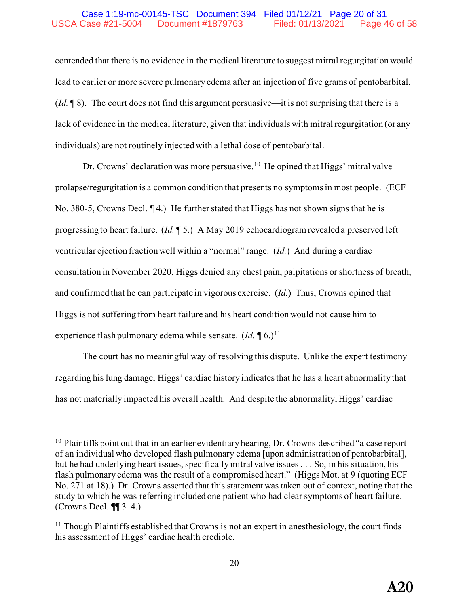#### Case 1:19-mc-00145-TSC Document 394 Filed 01/12/21 Page 20 of 31 USCA Case #21-5004 Document #1879763 Filed: 01/13/2021 Page 46 of 58

contended that there is no evidence in the medical literature to suggest mitral regurgitation would lead to earlier or more severe pulmonary edema after an injection of five grams of pentobarbital. (*Id.* ¶ 8). The court does not find this argument persuasive—it is not surprising that there is a lack of evidence in the medical literature, given that individuals with mitral regurgitation (or any individuals) are not routinely injected with a lethal dose of pentobarbital.

Dr. Crowns' declaration was more persuasive.<sup>[10](#page-45-0)</sup> He opined that Higgs' mitral valve prolapse/regurgitation is a common condition that presents no symptoms in most people. (ECF No. 380-5, Crowns Decl.  $\P$  4.) He further stated that Higgs has not shown signs that he is progressing to heart failure. (*Id.* ¶ 5.) A May 2019 echocardiogram revealed a preserved left ventricular ejection fraction well within a "normal" range. (*Id.*) And during a cardiac consultation in November 2020, Higgs denied any chest pain, palpitations or shortness of breath, and confirmed that he can participate in vigorous exercise. (*Id.*) Thus, Crowns opined that Higgs is not suffering from heart failure and his heart condition would not cause him to experience flash pulmonary edema while sensate.  $(Id, \P \cdot 6)$ <sup>11</sup>

The court has no meaningful way of resolving this dispute. Unlike the expert testimony regarding his lung damage, Higgs' cardiac history indicates that he has a heart abnormality that has not materially impacted his overall health. And despite the abnormality, Higgs' cardiac

<span id="page-45-0"></span> $10$  Plaintiffs point out that in an earlier evidentiary hearing, Dr. Crowns described "a case report of an individual who developed flash pulmonary edema [upon administration of pentobarbital], but he had underlying heart issues, specifically mitral valve issues . . . So, in his situation, his flash pulmonary edema was the result of a compromised heart." (Higgs Mot. at 9 (quoting ECF No. 271 at 18).) Dr. Crowns asserted that this statement was taken out of context, noting that the study to which he was referring included one patient who had clear symptoms of heart failure. (Crowns Decl. ¶¶ 3–4.)

<span id="page-45-1"></span> $11$  Though Plaintiffs established that Crowns is not an expert in anesthesiology, the court finds his assessment of Higgs' cardiac health credible.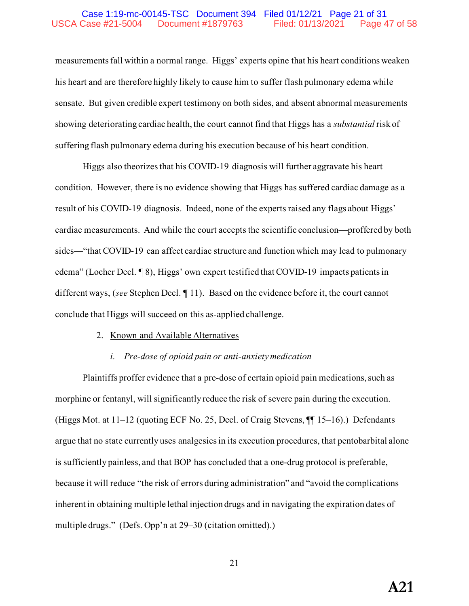#### Case 1:19-mc-00145-TSC Document 394 Filed 01/12/21 Page 21 of 31 USCA Case #21-5004 Document #1879763 Filed: 01/13/2021 Page 47 of 58

measurements fall within a normal range. Higgs' experts opine that his heart conditions weaken his heart and are therefore highly likely to cause him to suffer flash pulmonary edema while sensate. But given credible expert testimony on both sides, and absent abnormal measurements showing deteriorating cardiac health, the court cannot find that Higgs has a *substantial* risk of suffering flash pulmonary edema during his execution because of his heart condition.

Higgs also theorizes that his COVID-19 diagnosis will further aggravate his heart condition. However, there is no evidence showing that Higgs has suffered cardiac damage as a result of his COVID-19 diagnosis. Indeed, none of the experts raised any flags about Higgs' cardiac measurements. And while the court accepts the scientific conclusion—proffered by both sides—"that COVID-19 can affect cardiac structure and function which may lead to pulmonary edema" (Locher Decl. ¶ 8), Higgs' own expert testified that COVID-19 impacts patients in different ways, (*see* Stephen Decl. ¶ 11). Based on the evidence before it, the court cannot conclude that Higgs will succeed on this as-applied challenge.

#### 2. Known and Available Alternatives

#### *i. Pre-dose of opioid pain or anti-anxiety medication*

Plaintiffs proffer evidence that a pre-dose of certain opioid pain medications, such as morphine or fentanyl, will significantly reduce the risk of severe pain during the execution. (Higgs Mot. at 11–12 (quoting ECF No. 25, Decl. of Craig Stevens, ¶¶ 15–16).) Defendants argue that no state currently uses analgesics in its execution procedures, that pentobarbital alone is sufficiently painless, and that BOP has concluded that a one-drug protocol is preferable, because it will reduce "the risk of errors during administration" and "avoid the complications inherent in obtaining multiple lethal injection drugs and in navigating the expiration dates of multiple drugs." (Defs. Opp'n at 29–30 (citation omitted).)

21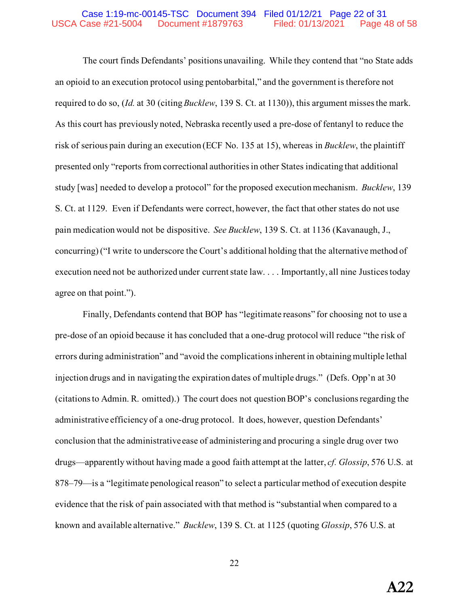#### Case 1:19-mc-00145-TSC Document 394 Filed 01/12/21 Page 22 of 31 USCA Case #21-5004 Document #1879763 Filed: 01/13/2021 Page 48 of 58

 The court finds Defendants' positions unavailing. While they contend that "no State adds an opioid to an execution protocol using pentobarbital," and the government is therefore not required to do so, (*Id.* at 30 (citing *Bucklew*, 139 S. Ct. at 1130)), this argument misses the mark. As this court has previously noted, Nebraska recently used a pre-dose of fentanyl to reduce the risk of serious pain during an execution (ECF No. 135 at 15), whereas in *Bucklew*, the plaintiff presented only "reports from correctional authorities in other States indicating that additional study [was] needed to develop a protocol" for the proposed execution mechanism. *Bucklew*, 139 S. Ct. at 1129. Even if Defendants were correct, however, the fact that other states do not use pain medication would not be dispositive. *See Bucklew*, 139 S. Ct. at 1136 (Kavanaugh, J., concurring) ("I write to underscore the Court's additional holding that the alternative method of execution need not be authorized under current state law. . . . Importantly, all nine Justices today agree on that point.").

Finally, Defendants contend that BOP has "legitimate reasons" for choosing not to use a pre-dose of an opioid because it has concluded that a one-drug protocol will reduce "the risk of errors during administration" and "avoid the complications inherent in obtaining multiple lethal injection drugs and in navigating the expiration dates of multiple drugs." (Defs. Opp'n at 30 (citations to Admin. R. omitted).) The court does not question BOP's conclusions regarding the administrative efficiency of a one-drug protocol. It does, however, question Defendants' conclusion that the administrative ease of administering and procuring a single drug over two drugs—apparently without having made a good faith attempt at the latter, *cf. Glossip*, 576 U.S. at 878–79—is a "legitimate penological reason" to select a particular method of execution despite evidence that the risk of pain associated with that method is "substantial when compared to a known and available alternative." *Bucklew*, 139 S. Ct. at 1125 (quoting *Glossip*, 576 U.S. at

22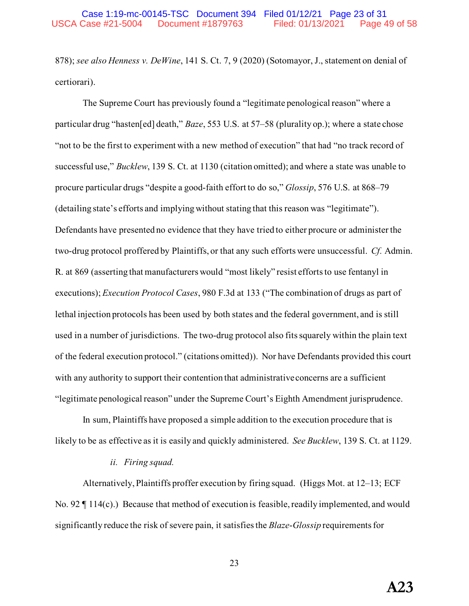878); *see also Henness v. DeWine*, 141 S. Ct. 7, 9 (2020) (Sotomayor, J., statement on denial of certiorari).

The Supreme Court has previously found a "legitimate penological reason" where a particular drug "hasten[ed] death," *Baze*, 553 U.S. at 57–58 (plurality op.); where a state chose "not to be the first to experiment with a new method of execution" that had "no track record of successful use," *Bucklew*, 139 S. Ct. at 1130 (citation omitted); and where a state was unable to procure particular drugs "despite a good-faith effort to do so," *Glossip*, 576 U.S. at 868–79 (detailing state's efforts and implying without stating that this reason was "legitimate"). Defendants have presented no evidence that they have tried to either procure or administer the two-drug protocol proffered by Plaintiffs, or that any such efforts were unsuccessful. *Cf.* Admin. R. at 869 (asserting that manufacturers would "most likely" resist efforts to use fentanyl in executions); *Execution Protocol Cases*, 980 F.3d at 133 ("The combination of drugs as part of lethal injection protocols has been used by both states and the federal government, and is still used in a number of jurisdictions. The two-drug protocol also fits squarely within the plain text of the federal execution protocol." (citations omitted)). Nor have Defendants provided this court with any authority to support their contention that administrative concerns are a sufficient "legitimate penological reason" under the Supreme Court's Eighth Amendment jurisprudence.

In sum, Plaintiffs have proposed a simple addition to the execution procedure that is likely to be as effective as it is easily and quickly administered. *See Bucklew*, 139 S. Ct. at 1129.

#### *ii. Firing squad.*

Alternatively, Plaintiffs proffer execution by firing squad. (Higgs Mot. at 12–13; ECF No. 92  $\P$  114(c).) Because that method of execution is feasible, readily implemented, and would significantly reduce the risk of severe pain, it satisfies the *Blaze*-*Glossip* requirements for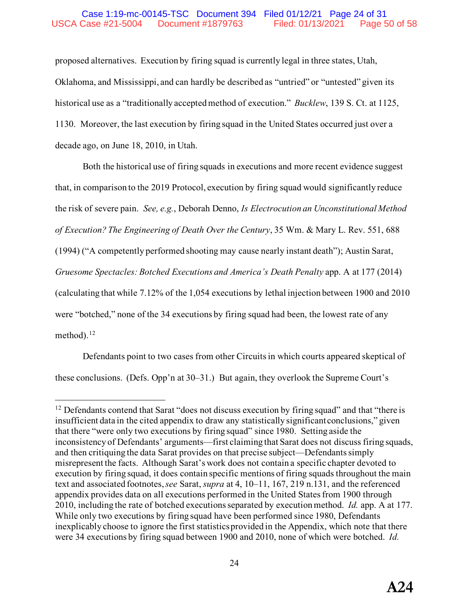### Case 1:19-mc-00145-TSC Document 394 Filed 01/12/21 Page 24 of 31 USCA Case #21-5004 Document #1879763 Filed: 01/13/2021 Page 50 of 58

proposed alternatives. Execution by firing squad is currently legal in three states, Utah, Oklahoma, and Mississippi, and can hardly be described as "untried" or "untested" given its historical use as a "traditionally accepted method of execution." *Bucklew*, 139 S. Ct. at 1125, 1130. Moreover, the last execution by firing squad in the United States occurred just over a decade ago, on June 18, 2010, in Utah.

Both the historical use of firing squads in executions and more recent evidence suggest that, in comparison to the 2019 Protocol, execution by firing squad would significantly reduce the risk of severe pain. *See, e.g.*, Deborah Denno, *Is Electrocution an Unconstitutional Method of Execution? The Engineering of Death Over the Century*, 35 Wm. & Mary L. Rev. 551, 688 (1994) ("A competently performed shooting may cause nearly instant death"); Austin Sarat, *Gruesome Spectacles: Botched Executions and America's Death Penalty* app. A at 177 (2014) (calculating that while 7.12% of the 1,054 executions by lethal injection between 1900 and 2010 were "botched," none of the 34 executions by firing squad had been, the lowest rate of any method).<sup>12</sup>

Defendants point to two cases from other Circuits in which courts appeared skeptical of these conclusions. (Defs. Opp'n at 30–31.) But again, they overlook the Supreme Court's

<span id="page-49-0"></span><sup>&</sup>lt;sup>12</sup> Defendants contend that Sarat "does not discuss execution by firing squad" and that "there is insufficient data in the cited appendix to draw any statistically significant conclusions," given that there "were only two executions by firing squad" since 1980. Setting aside the inconsistency of Defendants' arguments—first claiming that Sarat does not discuss firing squads, and then critiquing the data Sarat provides on that precise subject—Defendants simply misrepresent the facts. Although Sarat's work does not contain a specific chapter devoted to execution by firing squad, it does contain specific mentions of firing squads throughout the main text and associated footnotes, *see* Sarat, *supra* at 4, 10–11, 167, 219 n.131, and the referenced appendix provides data on all executions performed in the United States from 1900 through 2010, including the rate of botched executions separated by execution method. *Id.* app. A at 177. While only two executions by firing squad have been performed since 1980, Defendants inexplicably choose to ignore the first statistics provided in the Appendix, which note that there were 34 executions by firing squad between 1900 and 2010, none of which were botched. *Id.*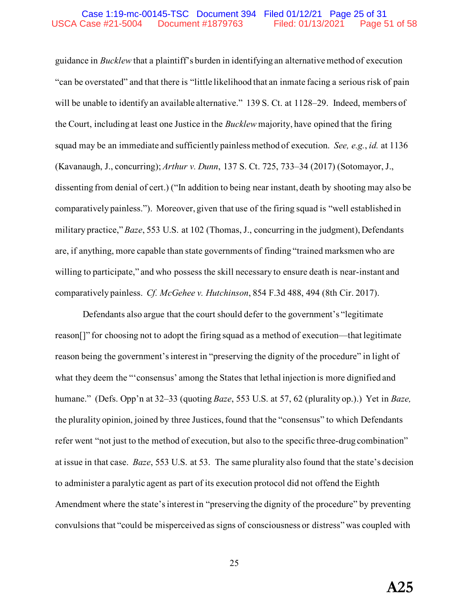#### Case 1:19-mc-00145-TSC Document 394 Filed 01/12/21 Page 25 of 31 USCA Case #21-5004 Document #1879763 Filed: 01/13/2021 Page 51 of 58

guidance in *Bucklew* that a plaintiff's burden in identifying an alternative method of execution "can be overstated" and that there is "little likelihood that an inmate facing a serious risk of pain will be unable to identify an available alternative." 139 S. Ct. at 1128–29. Indeed, members of the Court, including at least one Justice in the *Bucklew* majority, have opined that the firing squad may be an immediate and sufficiently painless method of execution. *See, e.g.*, *id.* at 1136 (Kavanaugh, J., concurring); *Arthur v. Dunn*, 137 S. Ct. 725, 733–34 (2017) (Sotomayor, J., dissenting from denial of cert.) ("In addition to being near instant, death by shooting may also be comparatively painless."). Moreover, given that use of the firing squad is "well established in military practice," *Baze*, 553 U.S. at 102 (Thomas, J., concurring in the judgment), Defendants are, if anything, more capable than state governments of finding "trained marksmen who are willing to participate," and who possess the skill necessary to ensure death is near-instant and comparatively painless. *Cf. McGehee v. Hutchinson*, 854 F.3d 488, 494 (8th Cir. 2017).

Defendants also argue that the court should defer to the government's "legitimate reason[]" for choosing not to adopt the firing squad as a method of execution—that legitimate reason being the government's interest in "preserving the dignity of the procedure" in light of what they deem the "'consensus' among the States that lethal injection is more dignified and humane." (Defs. Opp'n at 32–33 (quoting *Baze*, 553 U.S. at 57, 62 (plurality op.).) Yet in *Baze,* the plurality opinion, joined by three Justices, found that the "consensus" to which Defendants refer went "not just to the method of execution, but also to the specific three-drug combination" at issue in that case. *Baze*, 553 U.S. at 53. The same plurality also found that the state's decision to administer a paralytic agent as part of its execution protocol did not offend the Eighth Amendment where the state's interest in "preserving the dignity of the procedure" by preventing convulsions that "could be misperceived as signs of consciousness or distress" was coupled with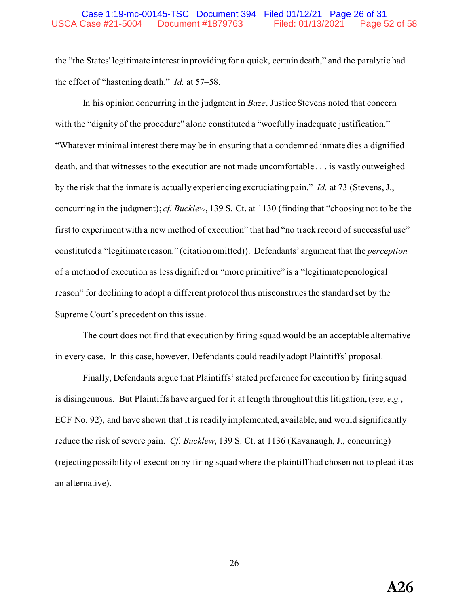#### Case 1:19-mc-00145-TSC Document 394 Filed 01/12/21 Page 26 of 31 USCA Case #21-5004 Document #1879763 Filed: 01/13/2021 Page 52 of 58

the "the States' legitimate interest in providing for a quick, certain death," and the paralytic had the effect of "hastening death." *Id.* at 57–58.

In his opinion concurring in the judgment in *Baze*, Justice Stevens noted that concern with the "dignity of the procedure" alone constituted a "woefully inadequate justification." "Whatever minimal interest there may be in ensuring that a condemned inmate dies a dignified death, and that witnesses to the execution are not made uncomfortable . . . is vastly outweighed by the risk that the inmate is actually experiencing excruciating pain." *Id.* at 73 (Stevens, J., concurring in the judgment); *cf. Bucklew*, 139 S. Ct. at 1130 (finding that "choosing not to be the first to experiment with a new method of execution" that had "no track record of successful use" constituted a "legitimate reason." (citation omitted)). Defendants' argument that the *perception* of a method of execution as less dignified or "more primitive" is a "legitimate penological reason" for declining to adopt a different protocol thus misconstrues the standard set by the Supreme Court's precedent on this issue.

 The court does not find that execution by firing squad would be an acceptable alternative in every case. In this case, however, Defendants could readily adopt Plaintiffs' proposal.

Finally, Defendants argue that Plaintiffs' stated preference for execution by firing squad is disingenuous. But Plaintiffs have argued for it at length throughout this litigation, (*see, e.g.*, ECF No. 92), and have shown that it is readily implemented, available, and would significantly reduce the risk of severe pain. *Cf. Bucklew*, 139 S. Ct. at 1136 (Kavanaugh, J., concurring) (rejecting possibility of execution by firing squad where the plaintiff had chosen not to plead it as an alternative).

26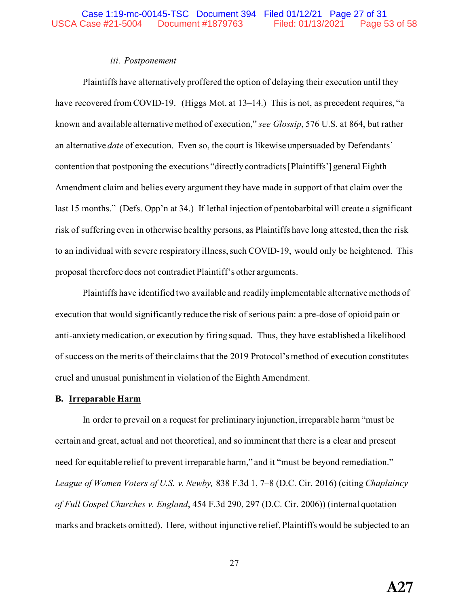### *iii. Postponement*

Plaintiffs have alternatively proffered the option of delaying their execution until they have recovered from COVID-19. (Higgs Mot. at 13–14.) This is not, as precedent requires, "a known and available alternative method of execution," *see Glossip*, 576 U.S. at 864, but rather an alternative *date* of execution. Even so, the court is likewise unpersuaded by Defendants' contention that postponing the executions "directly contradicts [Plaintiffs'] general Eighth Amendment claim and belies every argument they have made in support of that claim over the last 15 months." (Defs. Opp'n at 34.) If lethal injection of pentobarbital will create a significant risk of suffering even in otherwise healthy persons, as Plaintiffs have long attested, then the risk to an individual with severe respiratory illness, such COVID-19, would only be heightened. This proposal therefore does not contradict Plaintiff's other arguments.

Plaintiffs have identified two available and readily implementable alternative methods of execution that would significantly reduce the risk of serious pain: a pre-dose of opioid pain or anti-anxiety medication, or execution by firing squad. Thus, they have established a likelihood of success on the merits of their claims that the 2019 Protocol's method of execution constitutes cruel and unusual punishment in violation of the Eighth Amendment.

#### **B. Irreparable Harm**

In order to prevail on a request for preliminary injunction, irreparable harm "must be certain and great, actual and not theoretical, and so imminent that there is a clear and present need for equitable relief to prevent irreparable harm," and it "must be beyond remediation." *League of Women Voters of U.S. v. Newby,* 838 F.3d 1, 7–8 (D.C. Cir. 2016) (citing *Chaplaincy of Full Gospel Churches v. England*, 454 F.3d 290, 297 (D.C. Cir. 2006)) (internal quotation marks and brackets omitted). Here, without injunctive relief, Plaintiffs would be subjected to an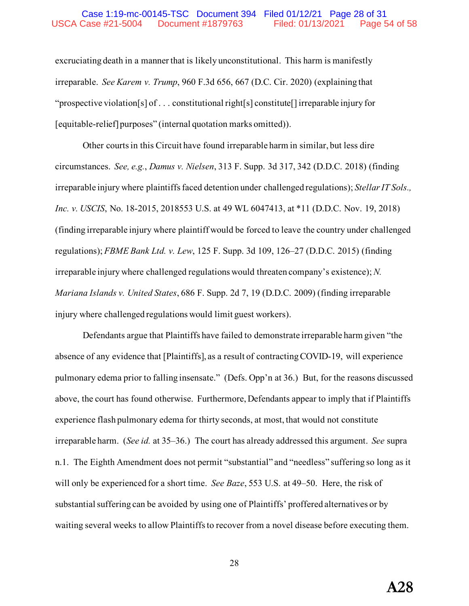#### Case 1:19-mc-00145-TSC Document 394 Filed 01/12/21 Page 28 of 31 USCA Case #21-5004 Document #1879763 Filed: 01/13/2021 Page 54 of 58

excruciating death in a manner that is likely unconstitutional. This harm is manifestly irreparable. *See Karem v. Trump*, 960 F.3d 656, 667 (D.C. Cir. 2020) (explaining that "prospective violation[s] of . . . constitutional right[s] constitute[] irreparable injury for [equitable-relief] purposes" (internal quotation marks omitted)).

Other courts in this Circuit have found irreparable harm in similar, but less dire circumstances. *See, e.g.*, *Damus v. Nielsen*, 313 F. Supp. 3d 317, 342 (D.D.C. 2018) (finding irreparable injury where plaintiffs faced detention under challenged regulations); *Stellar IT Sols., Inc. v. USCIS*, No. 18-2015, 2018553 U.S. at 49 WL 6047413, at \*11 (D.D.C. Nov. 19, 2018) (finding irreparable injury where plaintiff would be forced to leave the country under challenged regulations); *FBME Bank Ltd. v. Lew*, 125 F. Supp. 3d 109, 126–27 (D.D.C. 2015) (finding irreparable injury where challenged regulations would threaten company's existence); *N. Mariana Islands v. United States*, 686 F. Supp. 2d 7, 19 (D.D.C. 2009) (finding irreparable injury where challenged regulations would limit guest workers).

Defendants argue that Plaintiffs have failed to demonstrate irreparable harm given "the absence of any evidence that [Plaintiffs], as a result of contracting COVID-19, will experience pulmonary edema prior to falling insensate." (Defs. Opp'n at 36.) But, for the reasons discussed above, the court has found otherwise. Furthermore, Defendants appear to imply that if Plaintiffs experience flash pulmonary edema for thirty seconds, at most, that would not constitute irreparable harm. (*See id.* at 35–36.) The court has already addressed this argument. *See* supra n.1. The Eighth Amendment does not permit "substantial" and "needless" suffering so long as it will only be experienced for a short time. *See Baze*, 553 U.S. at 49–50. Here, the risk of substantial suffering can be avoided by using one of Plaintiffs' proffered alternatives or by waiting several weeks to allow Plaintiffs to recover from a novel disease before executing them.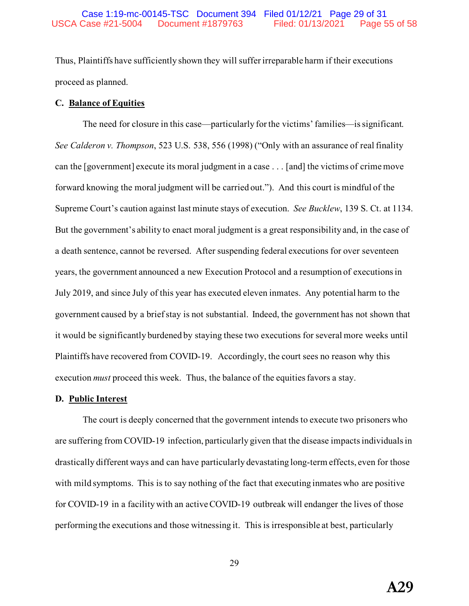Thus, Plaintiffs have sufficiently shown they will suffer irreparable harm if their executions proceed as planned.

#### **C. Balance of Equities**

The need for closure in this case—particularly for the victims' families—is significant. *See Calderon v. Thompson*, 523 U.S. 538, 556 (1998) ("Only with an assurance of real finality can the [government] execute its moral judgment in a case . . . [and] the victims of crime move forward knowing the moral judgment will be carried out."). And this court is mindful of the Supreme Court's caution against last minute stays of execution. *See Bucklew*, 139 S. Ct. at 1134. But the government's ability to enact moral judgment is a great responsibility and, in the case of a death sentence, cannot be reversed. After suspending federal executions for over seventeen years, the government announced a new Execution Protocol and a resumption of executions in July 2019, and since July of this year has executed eleven inmates. Any potential harm to the government caused by a brief stay is not substantial. Indeed, the government has not shown that it would be significantly burdened by staying these two executions for several more weeks until Plaintiffs have recovered from COVID-19. Accordingly, the court sees no reason why this execution *must* proceed this week. Thus, the balance of the equities favors a stay.

#### **D. Public Interest**

The court is deeply concerned that the government intends to execute two prisoners who are suffering from COVID-19 infection, particularly given that the disease impacts individuals in drastically different ways and can have particularly devastating long-term effects, even for those with mild symptoms. This is to say nothing of the fact that executing inmates who are positive for COVID-19 in a facility with an active COVID-19 outbreak will endanger the lives of those performing the executions and those witnessing it. This is irresponsible at best, particularly

**A29**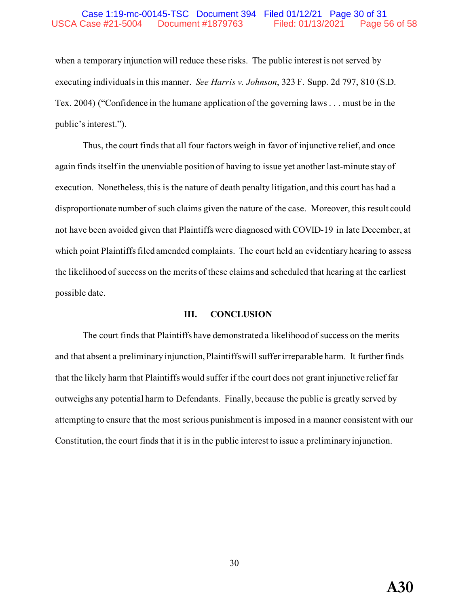#### Case 1:19-mc-00145-TSC Document 394 Filed 01/12/21 Page 30 of 31 USCA Case #21-5004 Document #1879763 Filed: 01/13/2021 Page 56 of 58

when a temporary injunction will reduce these risks. The public interest is not served by executing individuals in this manner. *See Harris v. Johnson*, 323 F. Supp. 2d 797, 810 (S.D. Tex. 2004) ("Confidence in the humane application of the governing laws . . . must be in the public's interest.").

Thus, the court finds that all four factors weigh in favor of injunctive relief, and once again finds itself in the unenviable position of having to issue yet another last-minute stay of execution. Nonetheless, this is the nature of death penalty litigation, and this court has had a disproportionate number of such claims given the nature of the case. Moreover, this result could not have been avoided given that Plaintiffs were diagnosed with COVID-19 in late December, at which point Plaintiffs filed amended complaints. The court held an evidentiary hearing to assess the likelihood of success on the merits of these claims and scheduled that hearing at the earliest possible date.

#### **III. CONCLUSION**

The court finds that Plaintiffs have demonstrated a likelihood of success on the merits and that absent a preliminary injunction, Plaintiffswill suffer irreparable harm. It further finds that the likely harm that Plaintiffs would suffer if the court does not grant injunctive relief far outweighs any potential harm to Defendants. Finally, because the public is greatly served by attempting to ensure that the most serious punishment is imposed in a manner consistent with our Constitution, the court finds that it is in the public interest to issue a preliminary injunction.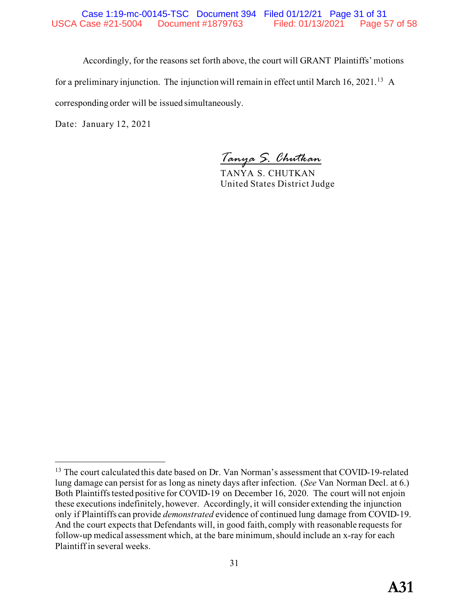Accordingly, for the reasons set forth above, the court will GRANT Plaintiffs' motions for a preliminary injunction. The injunction will remain in effect until March 16, 2021.<sup>[13](#page-56-0)</sup> A corresponding order will be issued simultaneously.

Date: January 12, 2021

*Tanya S. Chutkan*

TANYA S. CHUTKAN United States District Judge

<span id="page-56-0"></span><sup>&</sup>lt;sup>13</sup> The court calculated this date based on Dr. Van Norman's assessment that COVID-19-related lung damage can persist for as long as ninety days after infection. (*See* Van Norman Decl. at 6.) Both Plaintiffs tested positive for COVID-19 on December 16, 2020. The court will not enjoin these executions indefinitely, however. Accordingly, it will consider extending the injunction only if Plaintiffs can provide *demonstrated* evidence of continued lung damage from COVID-19. And the court expects that Defendants will, in good faith, comply with reasonable requests for follow-up medical assessment which, at the bare minimum, should include an x-ray for each Plaintiff in several weeks.